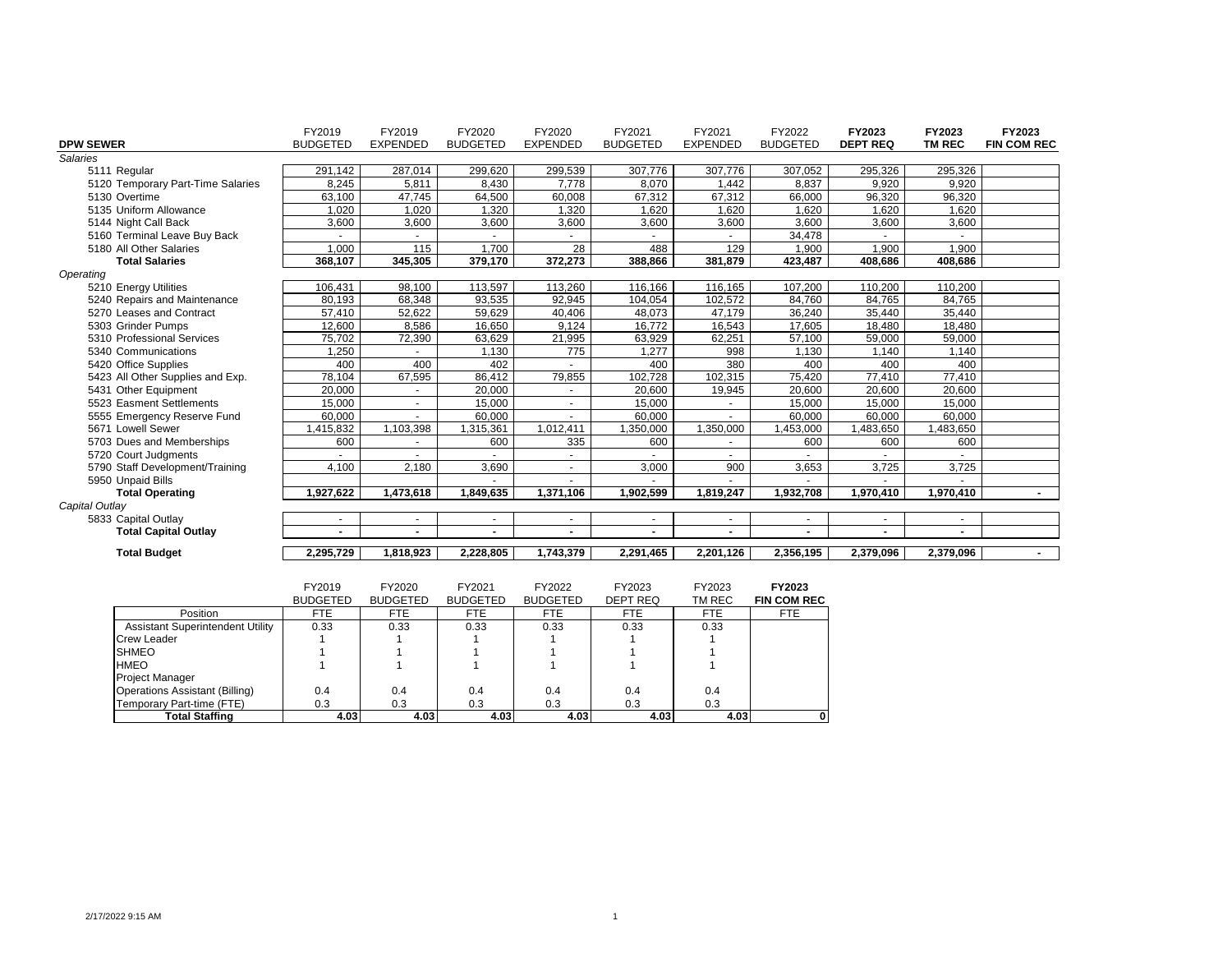|                                   | FY2019          | FY2019          | FY2020          | FY2020          | FY2021          | FY2021                   | FY2022                   | FY2023          | FY2023        | FY2023                   |
|-----------------------------------|-----------------|-----------------|-----------------|-----------------|-----------------|--------------------------|--------------------------|-----------------|---------------|--------------------------|
| <b>DPW SEWER</b>                  | <b>BUDGETED</b> | <b>EXPENDED</b> | <b>BUDGETED</b> | <b>EXPENDED</b> | <b>BUDGETED</b> | <b>EXPENDED</b>          | <b>BUDGETED</b>          | <b>DEPT REQ</b> | <b>TM REC</b> | <b>FIN COM REC</b>       |
| <b>Salaries</b>                   |                 |                 |                 |                 |                 |                          |                          |                 |               |                          |
| 5111 Regular                      | 291,142         | 287,014         | 299,620         | 299,539         | 307,776         | 307,776                  | 307,052                  | 295,326         | 295,326       |                          |
| 5120 Temporary Part-Time Salaries | 8,245           | 5.811           | 8,430           | 7.778           | 8,070           | 1,442                    | 8.837                    | 9,920           | 9,920         |                          |
| 5130 Overtime                     | 63,100          | 47,745          | 64,500          | 60,008          | 67,312          | 67,312                   | 66,000                   | 96,320          | 96,320        |                          |
| 5135 Uniform Allowance            | 1,020           | 1,020           | 1,320           | 1,320           | 1,620           | 1,620                    | 1,620                    | 1,620           | 1,620         |                          |
| 5144 Night Call Back              | 3,600           | 3,600           | 3,600           | 3,600           | 3,600           | 3,600                    | 3,600                    | 3,600           | 3,600         |                          |
| 5160 Terminal Leave Buy Back      | ×               |                 |                 |                 |                 |                          | 34,478                   |                 |               |                          |
| 5180 All Other Salaries           | 1,000           | 115             | 1,700           | 28              | 488             | 129                      | 1,900                    | 1,900           | 1,900         |                          |
| <b>Total Salaries</b>             | 368.107         | 345.305         | 379,170         | 372,273         | 388,866         | 381,879                  | 423,487                  | 408,686         | 408,686       |                          |
| Operating                         |                 |                 |                 |                 |                 |                          |                          |                 |               |                          |
| 5210 Energy Utilities             | 106,431         | 98.100          | 113,597         | 113,260         | 116,166         | 116,165                  | 107,200                  | 110,200         | 110,200       |                          |
| 5240 Repairs and Maintenance      | 80.193          | 68.348          | 93.535          | 92.945          | 104.054         | 102.572                  | 84.760                   | 84.765          | 84,765        |                          |
| 5270 Leases and Contract          | 57,410          | 52,622          | 59,629          | 40,406          | 48,073          | 47.179                   | 36,240                   | 35,440          | 35,440        |                          |
| 5303 Grinder Pumps                | 12,600          | 8,586           | 16,650          | 9,124           | 16,772          | 16,543                   | 17,605                   | 18,480          | 18,480        |                          |
| 5310 Professional Services        | 75,702          | 72,390          | 63,629          | 21,995          | 63,929          | 62,251                   | 57,100                   | 59,000          | 59,000        |                          |
| 5340 Communications               | 1,250           |                 | 1,130           | 775             | 1,277           | 998                      | 1,130                    | 1,140           | 1,140         |                          |
| 5420 Office Supplies              | 400             | 400             | 402             |                 | 400             | 380                      | 400                      | 400             | 400           |                          |
| 5423 All Other Supplies and Exp.  | 78,104          | 67,595          | 86,412          | 79,855          | 102,728         | 102,315                  | 75,420                   | 77,410          | 77,410        |                          |
| 5431 Other Equipment              | 20,000          |                 | 20,000          |                 | 20.600          | 19,945                   | 20,600                   | 20,600          | 20,600        |                          |
| 5523 Easment Settlements          | 15,000          |                 | 15,000          |                 | 15,000          |                          | 15,000                   | 15,000          | 15,000        |                          |
| 5555 Emergency Reserve Fund       | 60.000          |                 | 60.000          |                 | 60.000          | ÷.                       | 60,000                   | 60.000          | 60,000        |                          |
| 5671 Lowell Sewer                 | 1,415,832       | 1,103,398       | 1,315,361       | 1,012,411       | 1.350.000       | 1,350,000                | ,453,000                 | ,483,650        | ,483,650      |                          |
| 5703 Dues and Memberships         | 600             | $\sim$          | 600             | 335             | 600             | $\sim$                   | 600                      | 600             | 600           |                          |
| 5720 Court Judgments              | ٠               | $\sim$          |                 | $\sim$          |                 | $\sim$                   |                          |                 |               |                          |
| 5790 Staff Development/Training   | 4,100           | 2,180           | 3,690           | $\sim$          | 3,000           | 900                      | 3,653                    | 3,725           | 3,725         |                          |
| 5950 Unpaid Bills                 |                 |                 |                 |                 |                 | ٠                        |                          |                 |               |                          |
| <b>Total Operating</b>            | 1,927,622       | 1,473,618       | 1,849,635       | 1,371,106       | 1,902,599       | 1,819,247                | 1,932,708                | 1,970,410       | 1,970,410     | $\overline{\phantom{0}}$ |
| Capital Outlay                    |                 |                 |                 |                 |                 |                          |                          |                 |               |                          |
| 5833 Capital Outlay               | ٠               |                 |                 | $\sim$          | $\blacksquare$  | $\sim$                   |                          |                 |               |                          |
| <b>Total Capital Outlay</b>       | $\blacksquare$  | $\blacksquare$  |                 | $\blacksquare$  | $\blacksquare$  | $\overline{\phantom{0}}$ | $\overline{\phantom{0}}$ |                 |               |                          |
| <b>Total Budget</b>               | 2,295,729       | 1,818,923       | 2,228,805       | 1,743,379       | 2,291,465       | 2,201,126                | 2,356,195                | 2,379,096       | 2,379,096     |                          |
|                                   | EV2010          | EVOOOO          | EV2004          | EVOOOO          | <b>EVOOOO</b>   | <b>EVOOOO</b>            | EVOODS                   |                 |               |                          |

|                                         | FY2019          | FY2020          | FY2021          | FY2022          | FY2023     | FY2023     | FY2023             |
|-----------------------------------------|-----------------|-----------------|-----------------|-----------------|------------|------------|--------------------|
|                                         | <b>BUDGETED</b> | <b>BUDGETED</b> | <b>BUDGETED</b> | <b>BUDGETED</b> | DEPT REQ   | TM REC     | <b>FIN COM REC</b> |
| Position                                | FTE             | <b>FTE</b>      | <b>FTE</b>      | <b>FTE</b>      | <b>FTE</b> | <b>FTE</b> | FTE                |
| <b>Assistant Superintendent Utility</b> | 0.33            | 0.33            | 0.33            | 0.33            | 0.33       | 0.33       |                    |
| <b>Crew Leader</b>                      |                 |                 |                 |                 |            |            |                    |
| <b>SHMEO</b>                            |                 |                 |                 |                 |            |            |                    |
| <b>HMEO</b>                             |                 |                 |                 |                 |            |            |                    |
| <b>Project Manager</b>                  |                 |                 |                 |                 |            |            |                    |
| Operations Assistant (Billing)          | 0.4             | 0.4             | 0.4             | 0.4             | 0.4        | 0.4        |                    |
| Temporary Part-time (FTE)               | 0.3             | 0.3             | 0.3             | 0.3             | 0.3        | 0.3        |                    |
| Total Staffing                          | 4.03            | 4.03            | 4.03            | 4.03            | 4.03       | 4.03       |                    |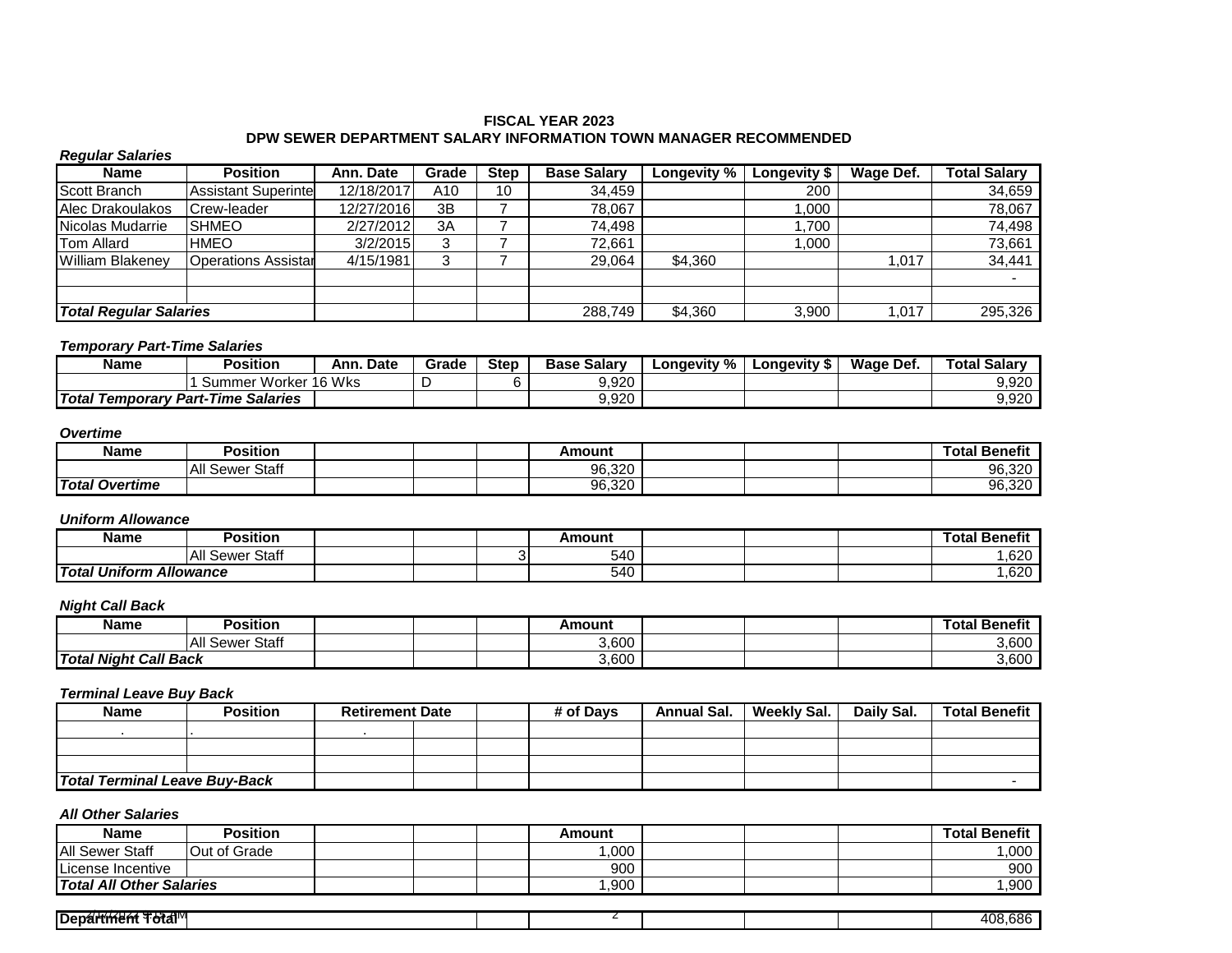## **FISCAL YEAR 2023 DPW SEWER DEPARTMENT SALARY INFORMATION TOWN MANAGER RECOMMENDED**

## *Regular Salaries*

| Name                          | <b>Position</b>            | Ann. Date  | Grade | <b>Step</b> | <b>Base Salary</b> | Longevity $\overline{\%}$ | Longevity \$ | Wage Def. | <b>Total Salarv</b> |
|-------------------------------|----------------------------|------------|-------|-------------|--------------------|---------------------------|--------------|-----------|---------------------|
| Scott Branch                  | <b>Assistant Superinte</b> | 12/18/2017 | A10   | 10          | 34,459             |                           | 200          |           | 34,659              |
| Alec Drakoulakos              | Crew-leader                | 12/27/2016 | 3B    |             | 78.067             |                           | .000         |           | 78,067              |
| Nicolas Mudarrie              | <b>SHMEO</b>               | 2/27/2012  | 3A    |             | 74,498             |                           | ,700         |           | 74,498              |
| <b>Tom Allard</b>             | <b>HMEO</b>                | 3/2/2015   | 3     |             | 72,661             |                           | .000         |           | 73,661              |
| <b>William Blakenev</b>       | <b>Operations Assistar</b> | 4/15/1981  | 3     |             | 29,064             | \$4,360                   |              | .017      | 34,441              |
|                               |                            |            |       |             |                    |                           |              |           |                     |
|                               |                            |            |       |             |                    |                           |              |           |                     |
| <b>Total Regular Salaries</b> |                            |            |       |             | 288.749            | \$4,360                   | 3,900        | .017      | 295,326             |

#### *Temporary Part-Time Salaries*

| Name                                      | <b>Position</b>         | Ann. Date | Grade | <b>Step</b> | ، Salarv<br>Base | Longevity % | ∟onqevity ′ | Wage Def. | <b>Total Salary</b> |
|-------------------------------------------|-------------------------|-----------|-------|-------------|------------------|-------------|-------------|-----------|---------------------|
|                                           | Worker 16 Wks<br>Summer |           |       |             | 9,920            |             |             |           | 9,920               |
| <b>Total Temporary Part-Time Salaries</b> |                         |           |       |             | 9,920            |             |             |           | 9,920               |

#### *Overtime*

| Name                  | Position           |  | Amount |  | .<br>اota<br>' Benefit |
|-----------------------|--------------------|--|--------|--|------------------------|
|                       | Sewer Staff<br>All |  | 96,320 |  | 96,320                 |
| <b>Total Overtime</b> |                    |  | 96,320 |  | 96,320                 |

### *Uniform Allowance*

| Name                           | Position                     |  | Amount |  | <br><b>fotal</b> Γ<br><b>Benefit</b> |
|--------------------------------|------------------------------|--|--------|--|--------------------------------------|
|                                | Staff<br><b>All</b><br>Sewer |  | 540    |  | $\sim$<br>∪∠ס.                       |
| <b>Total Uniform Allowance</b> |                              |  | 540    |  | $\sim$<br>∪∠ס.                       |

## *Night Call Back*

| Name                         | Position           |  | Amount |  | .<br>Гotal<br><b>Benefit</b> |
|------------------------------|--------------------|--|--------|--|------------------------------|
|                              | Sewer Staff<br>All |  | 3,600  |  | 3,600                        |
| <b>Total Night Call Back</b> |                    |  | 3,600  |  | 3,600                        |

### *Terminal Leave Buy Back*

| <b>Name</b>                          | <b>Position</b> | <b>Retirement Date</b> |  | # of Davs | <b>Annual Sal.</b> | <b>Weekly Sal.</b> | Daily Sal. | <b>Total Benefit</b> |
|--------------------------------------|-----------------|------------------------|--|-----------|--------------------|--------------------|------------|----------------------|
|                                      |                 |                        |  |           |                    |                    |            |                      |
|                                      |                 |                        |  |           |                    |                    |            |                      |
|                                      |                 |                        |  |           |                    |                    |            |                      |
| <b>Total Terminal Leave Buy-Back</b> |                 |                        |  |           |                    |                    |            |                      |

| Name                            | Position            |  | Amount |  | <b>Total Benefit</b> |
|---------------------------------|---------------------|--|--------|--|----------------------|
| <b>All Sewer Staff</b>          | <b>Out of Grade</b> |  | .000   |  | ,000                 |
| License Incentive               |                     |  | 900    |  | 900                  |
| <b>Total All Other Salaries</b> |                     |  | ,900   |  | ,900                 |

| - - - -                                              |  |  |                                      |
|------------------------------------------------------|--|--|--------------------------------------|
| $-1500$<br>œ<br>l Denar<br>∶ l'otal'''<br>.<br>unem. |  |  | coc<br>40£<br>,ooo<br>. . <i>.</i> . |
|                                                      |  |  |                                      |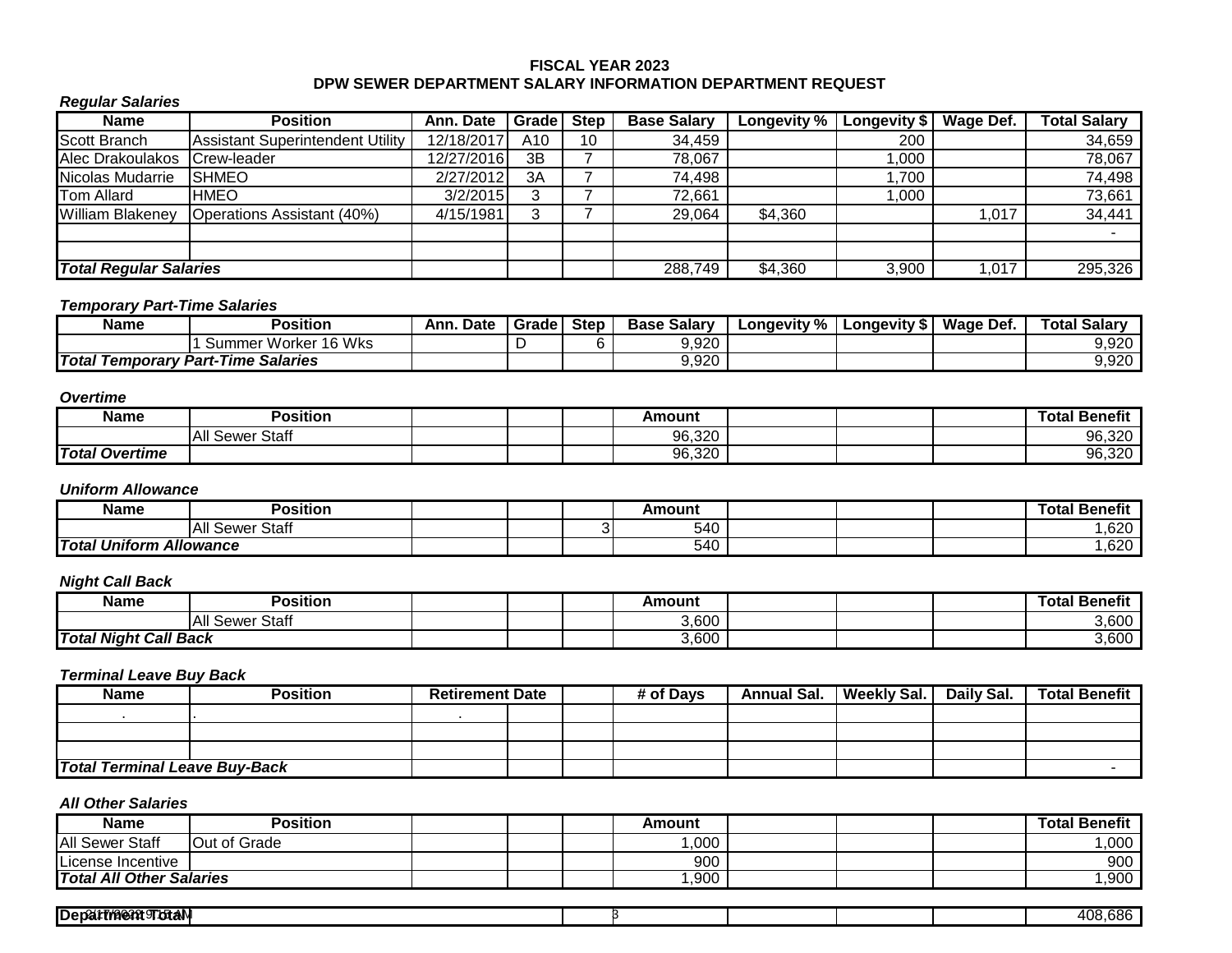## **FISCAL YEAR 2023 DPW SEWER DEPARTMENT SALARY INFORMATION DEPARTMENT REQUEST**

## *Regular Salaries*

| <b>Name</b>                   | <b>Position</b>                         | Ann. Date  | Gradel          | <b>Step</b> | <b>Base Salary</b> | Longevity $\%$ | <b>Longevity \$</b> | Wage Def. | <b>Total Salary</b> |
|-------------------------------|-----------------------------------------|------------|-----------------|-------------|--------------------|----------------|---------------------|-----------|---------------------|
| <b>Scott Branch</b>           | <b>Assistant Superintendent Utility</b> | 12/18/2017 | A <sub>10</sub> | 10          | 34,459             |                | 200                 |           | 34,659              |
| Alec Drakoulakos              | Crew-leader                             | 12/27/2016 | 3B              |             | 78,067             |                | ,000                |           | 78,067              |
| Nicolas Mudarrie              | <b>SHMEO</b>                            | 2/27/2012  | 3A              |             | 74,498             |                | 1,700               |           | 74,498              |
| <b>Tom Allard</b>             | <b>HMEO</b>                             | 3/2/2015   |                 |             | 72,661             |                | 000,                |           | 73,661              |
| <b>William Blakeney</b>       | <b>Operations Assistant (40%)</b>       | 4/15/1981  |                 |             | 29,064             | \$4,360        |                     | ,017      | 34,441              |
|                               |                                         |            |                 |             |                    |                |                     |           |                     |
|                               |                                         |            |                 |             |                    |                |                     |           |                     |
| <b>Total Regular Salaries</b> |                                         |            |                 |             | 288,749            | \$4,360        | 3,900               | ,017      | 295,326             |

## *Temporary Part-Time Salaries*

| Name | Position                                  | Ann.<br>Date | I Grade I | <b>Step</b> | Base<br>Salarv | Longevity % | Lonaevitv S | Wage Def. | <b>Salary</b><br>Гоtal |
|------|-------------------------------------------|--------------|-----------|-------------|----------------|-------------|-------------|-----------|------------------------|
|      | Summer Worker 16 Wks                      |              |           |             | 9,920          |             |             |           | 9,920                  |
|      | <b>Total Temporary Part-Time Salaries</b> |              |           |             | 9,920          |             |             |           | 9,920                  |

## *Overtime*

| Name                  | Position           |  | Amount |  | <br>rotal<br>∣ Benefit |
|-----------------------|--------------------|--|--------|--|------------------------|
|                       | All Sewer<br>Staff |  | 96,320 |  | 96,320                 |
| <b>Total Overtime</b> |                    |  | 96,320 |  | 96,320                 |

## *Uniform Allowance*

| <b>Name</b>                              | Position                   |  | Amount |  | ---<br>Total Benefit |
|------------------------------------------|----------------------------|--|--------|--|----------------------|
|                                          | -<br>Staff<br>. A<br>Sewer |  | 540    |  | ,620                 |
| <b>Total Uniform</b><br><b>Allowance</b> |                            |  | 540    |  | ,620                 |

## *Night Call Back*

| <b>Name</b>                  | .<br>Position             |  | Amount |  | Total Benefit      |
|------------------------------|---------------------------|--|--------|--|--------------------|
|                              | $^{\sim}$<br>Sewer<br>ાતા |  | 3,600  |  | 0.000<br>3.OUL     |
| <b>Total Night Call Back</b> |                           |  | 3,600  |  | $\sim$ 000<br>ა.ხ∪ |

## *Terminal Leave Buy Back*

| <b>Name</b>                          | <b>Position</b> | <b>Retirement Date</b> |  | # of Davs | <b>Annual Sal.</b> | <b>Weekly Sal.</b> | Daily Sal. | <b>Total Benefit</b> |
|--------------------------------------|-----------------|------------------------|--|-----------|--------------------|--------------------|------------|----------------------|
|                                      |                 |                        |  |           |                    |                    |            |                      |
|                                      |                 |                        |  |           |                    |                    |            |                      |
|                                      |                 |                        |  |           |                    |                    |            |                      |
| <b>Total Terminal Leave Buy-Back</b> |                 |                        |  |           |                    |                    |            |                      |

| Name                            | Position     |  | Amount |  | <b>Total Benefit</b> |
|---------------------------------|--------------|--|--------|--|----------------------|
| <b>All Sewer Staff</b>          | Out of Grade |  | ,000   |  | ,000                 |
| ILicense Incentive_             |              |  | 900    |  | 900                  |
| <b>Total All Other Salaries</b> |              |  | ,900   |  | ,900                 |

| Den.<br>. |  |  | ~~~<br><u>_</u> |
|-----------|--|--|-----------------|
|           |  |  |                 |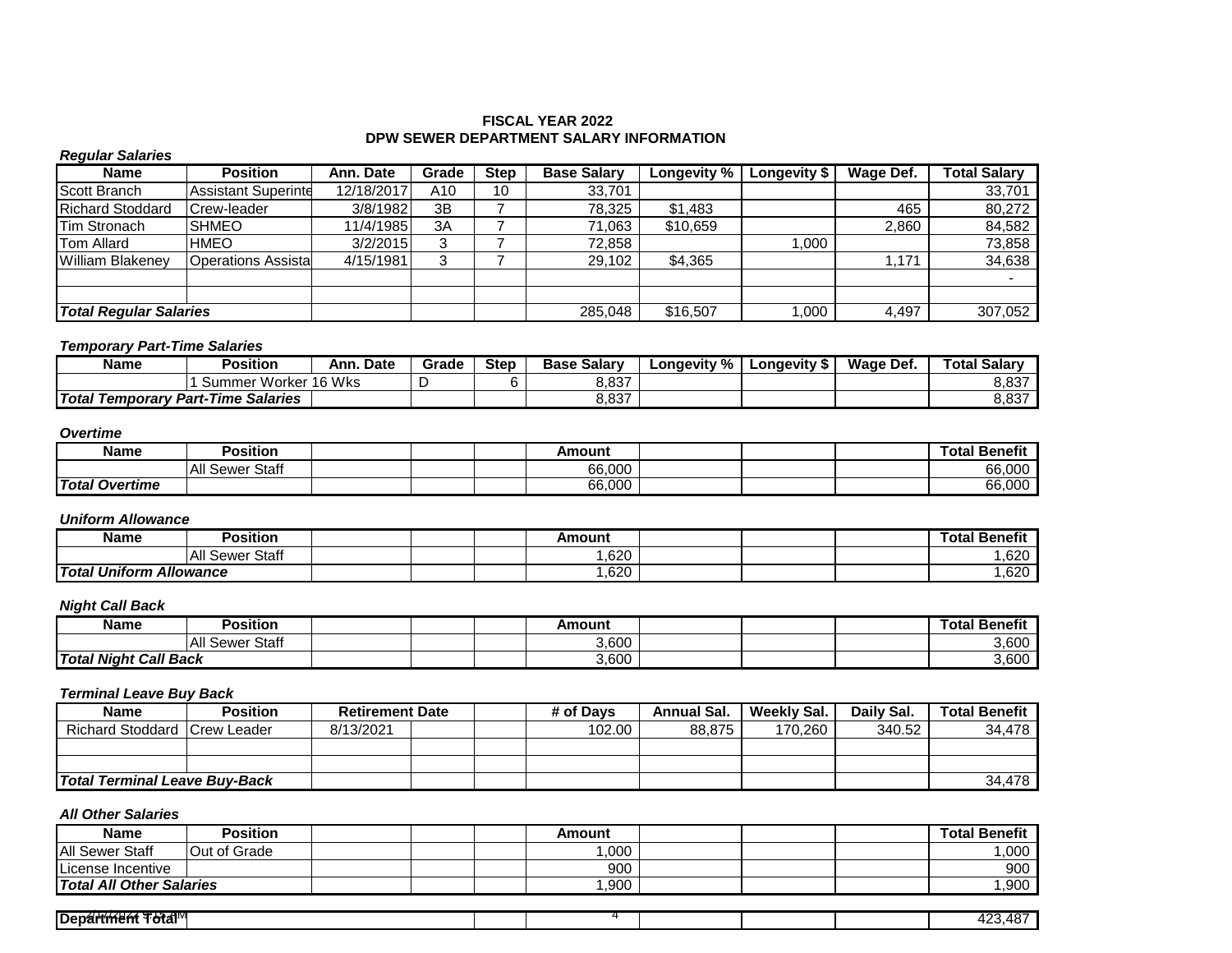### **FISCAL YEAR 2022 DPW SEWER DEPARTMENT SALARY INFORMATION**

## *Regular Salaries*

| <b>Name</b>                   | <b>Position</b>            | Ann. Date  | Grade | <b>Step</b> | <b>Base Salary</b> | Longevity % | Longevity \$ | Wage Def. | <b>Total Salarv</b> |
|-------------------------------|----------------------------|------------|-------|-------------|--------------------|-------------|--------------|-----------|---------------------|
| Scott Branch                  | <b>Assistant Superinte</b> | 12/18/2017 | A10   | 10          | 33,701             |             |              |           | 33,701              |
| <b>Richard Stoddard</b>       | Crew-leader                | 3/8/1982   | 3B    |             | 78.325             | \$1,483     |              | 465       | 80.272              |
| Tim Stronach                  | <b>SHMEO</b>               | 11/4/1985  | 3A    |             | 71.063             | \$10.659    |              | 2.860     | 84,582              |
| <b>Tom Allard</b>             | <b>HMEO</b>                | 3/2/2015   | ◠     |             | 72.858             |             | 000.         |           | 73,858              |
| William Blakenev              | <b>Operations Assista</b>  | 4/15/1981  | 3     |             | 29,102             | \$4,365     |              | .171      | 34,638              |
|                               |                            |            |       |             |                    |             |              |           |                     |
|                               |                            |            |       |             |                    |             |              |           |                     |
| <b>Total Regular Salaries</b> |                            |            |       |             | 285,048            | \$16,507    | ,000         | 4,497     | 307,052             |

### *Temporary Part-Time Salaries*

| Name                                      | <b>Position</b>      | Date<br>Ann. | Grade | <b>Step</b> | <b>Base Salary</b> | Longevity % | Longevity " | Wage Def. | <b>Total Salary</b> |
|-------------------------------------------|----------------------|--------------|-------|-------------|--------------------|-------------|-------------|-----------|---------------------|
|                                           | Summer Worker 16 Wks |              |       |             | 8,837              |             |             |           | 8,837               |
| <b>Total Temporary Part-Time Salaries</b> |                      |              |       |             | 8,837              |             |             |           | 8,837               |

### *Overtime*

| Name                  | Position                  |  | Amount |  | ' Benefit<br>Total . |
|-----------------------|---------------------------|--|--------|--|----------------------|
|                       | Sewer Staff<br><b>All</b> |  | 66,000 |  | 66,000               |
| <b>Total Overtime</b> |                           |  | 66,000 |  | 66,000               |

### *Uniform Allowance*

| Name                           | Position              |  | Amount |  | .<br><b>「otal Benefit</b> |
|--------------------------------|-----------------------|--|--------|--|---------------------------|
|                                | All<br>Staff<br>Sewer |  | ,620   |  | $\sim$<br>∪∠ס.            |
| <b>Total Uniform Allowance</b> |                       |  | ,620   |  | $\sim$<br>∪∠ס.            |

## *Night Call Back*

| Name                         | Position           |  | Amount |  | .<br>---<br>™otal<br><b>Benefit</b> |
|------------------------------|--------------------|--|--------|--|-------------------------------------|
|                              | Sewer Staff<br>All |  | 3,600  |  | 3,600                               |
| <b>Total Night Call Back</b> |                    |  | 3,600  |  | 3,600                               |

### *Terminal Leave Buy Back*

| <b>Name</b>                   | <b>Position</b> | <b>Retirement Date</b> |  | # of Davs | Annual Sal. | Weekly Sal. | Daily Sal. | <b>Total Benefit</b> |
|-------------------------------|-----------------|------------------------|--|-----------|-------------|-------------|------------|----------------------|
| Richard Stoddard Crew Leader  |                 | 8/13/2021              |  | 102.00    | 88.875      | 170.260     | 340.52     | 34.478               |
|                               |                 |                        |  |           |             |             |            |                      |
|                               |                 |                        |  |           |             |             |            |                      |
| Total Terminal Leave Buy-Back |                 |                        |  |           |             |             |            | 34.478               |

| <b>Name</b>              | <b>Position</b>     |  | Amount |  | <b>Total Benefit</b> |
|--------------------------|---------------------|--|--------|--|----------------------|
| <b>IAII Sewer Staff</b>  | <b>Out of Grade</b> |  | ,000   |  | ,000                 |
| License Incentive        |                     |  | 900    |  | 900                  |
| Total All Other Salaries |                     |  | .900   |  | ,900                 |

| .<br><u>тни.</u><br>Den.<br>.<br>.<br>υıα |  |  |  | - 10<br>$\sim$<br>,,,,<br>. .<br>᠇◡ |
|-------------------------------------------|--|--|--|-------------------------------------|
|                                           |  |  |  |                                     |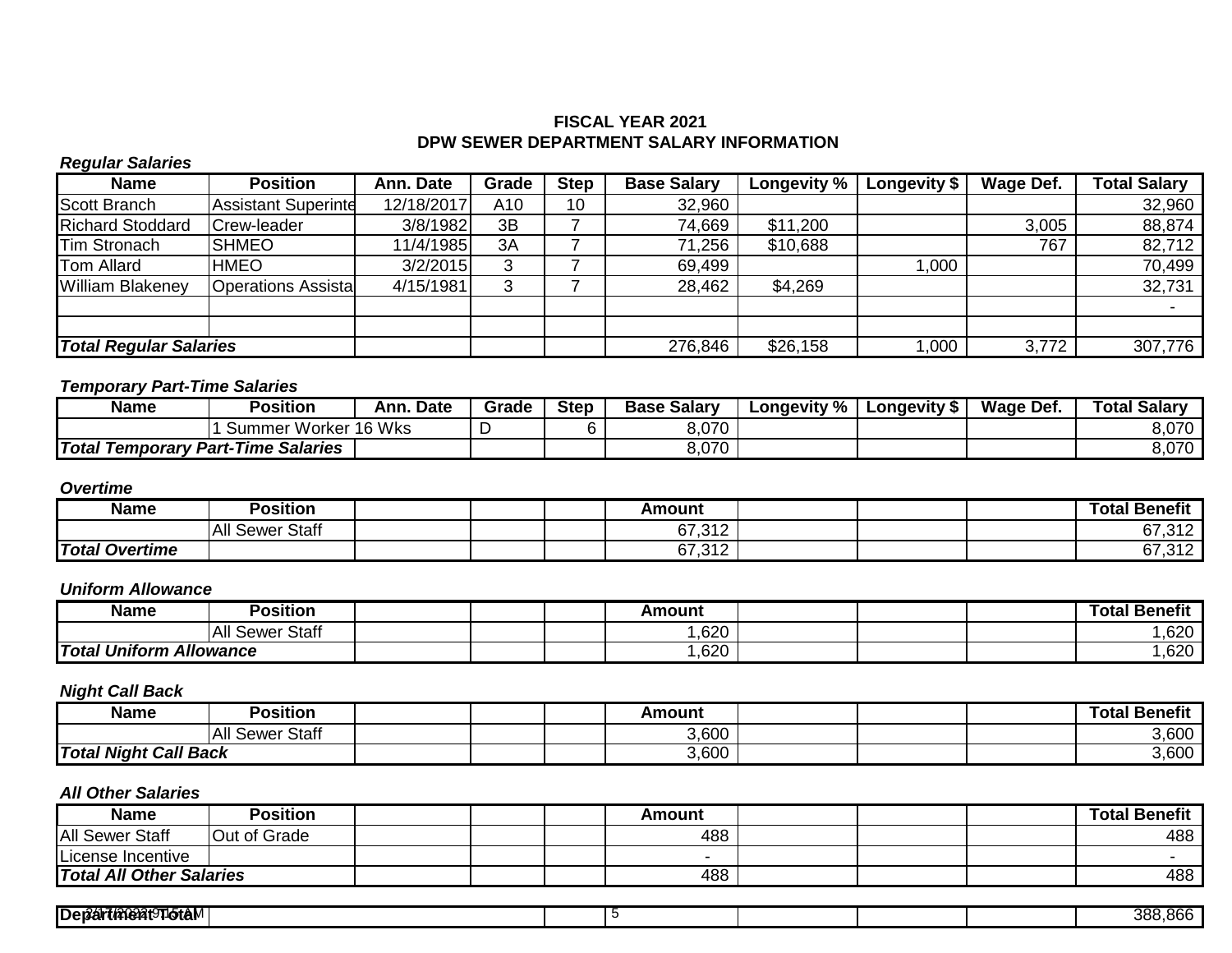## **FISCAL YEAR 2021 DPW SEWER DEPARTMENT SALARY INFORMATION**

## *Regular Salaries*

| <b>Name</b>                   | <b>Position</b>            | Ann. Date  | Grade | <b>Step</b> | <b>Base Salary</b> | <b>Longevity %</b> | Longevity \$ | Wage Def. | <b>Total Salary</b> |
|-------------------------------|----------------------------|------------|-------|-------------|--------------------|--------------------|--------------|-----------|---------------------|
| Scott Branch                  | <b>Assistant Superinte</b> | 12/18/2017 | A10   | 10          | 32,960             |                    |              |           | 32,960              |
| <b>Richard Stoddard</b>       | Crew-leader                | 3/8/1982   | 3B    |             | 74,669             | \$11,200           |              | 3,005     | 88,874              |
| Tim Stronach                  | <b>SHMEO</b>               | 11/4/1985  | 3A    |             | 71,256             | \$10,688           |              | 767       | 82,712              |
| Tom Allard                    | <b>HMEO</b>                | 3/2/2015   | 3     |             | 69,499             |                    | ,000         |           | 70,499              |
| <b>William Blakeney</b>       | <b>Operations Assista</b>  | 4/15/1981  | ◠     |             | 28,462             | \$4,269            |              |           | 32,731              |
|                               |                            |            |       |             |                    |                    |              |           |                     |
|                               |                            |            |       |             |                    |                    |              |           |                     |
| <b>Total Regular Salaries</b> |                            |            |       |             | 276,846            | \$26,158           | ,000         | 3,772     | 307,776             |

## *Temporary Part-Time Salaries*

| Name                    |  | Position                                              | . Date<br>Ann. | Grade | <b>Step</b> | <b>Base Salarv</b> | Longevity % | <b>Longevity \$</b> | Wage Def. | <b>Total Salary</b> |
|-------------------------|--|-------------------------------------------------------|----------------|-------|-------------|--------------------|-------------|---------------------|-----------|---------------------|
| Worker 16 Wks<br>Summer |  |                                                       |                |       | 8,070       |                    |             |                     | 8,070     |                     |
|                         |  | <b>Total Temporary Part-Time \</b><br><b>Salaries</b> |                |       |             | 8,070              |             |                     |           | 8,070               |

## *Overtime*

| Name                  | Position                   |  | Amount |  | <b>Total Benefit</b> |
|-----------------------|----------------------------|--|--------|--|----------------------|
|                       | <b>Sewer Staff</b><br>IAII |  | 67,312 |  | 67,312               |
| <b>Total Overtime</b> |                            |  | 67,312 |  | 67,312               |

# *Uniform Allowance*

| Name          | Position                      |  | Amount |  | .<br>Гоtal<br>ˈ Benefit |
|---------------|-------------------------------|--|--------|--|-------------------------|
|               | <b>Staff</b><br>IAI'<br>Sewer |  | ,620   |  | ,620                    |
| Total Uniform | <b>Allowance</b>              |  | ,620   |  | ,620                    |

## *Night Call Back*

| Name                         | <b>Position</b>        |  | Amount |  | <b>Benefit</b><br>Гоtal |
|------------------------------|------------------------|--|--------|--|-------------------------|
|                              | Staff<br>IAII<br>Sewer |  | 3,600  |  | 3,600                   |
| <b>Total Night Call Back</b> |                        |  | 3,600  |  | 3,600                   |

| <b>Name</b>                     | <b>Position</b> |  | Amount |  | <b>Total Benefit</b> |
|---------------------------------|-----------------|--|--------|--|----------------------|
| <b>All Sewer Staff</b>          | Out of Grade    |  | 488    |  | 488                  |
| License Incentive               |                 |  |        |  |                      |
| <b>Total All Other Salaries</b> |                 |  | 488    |  | 488                  |

| <b>IDer2át</b><br><b>∴7,ເວ∩ດລ⊥ດ⊓</b> າ⊾ |  | റവെ<br>occ<br><br>$\sim$ $\sim$ $\sim$<br>. |
|-----------------------------------------|--|---------------------------------------------|
|                                         |  |                                             |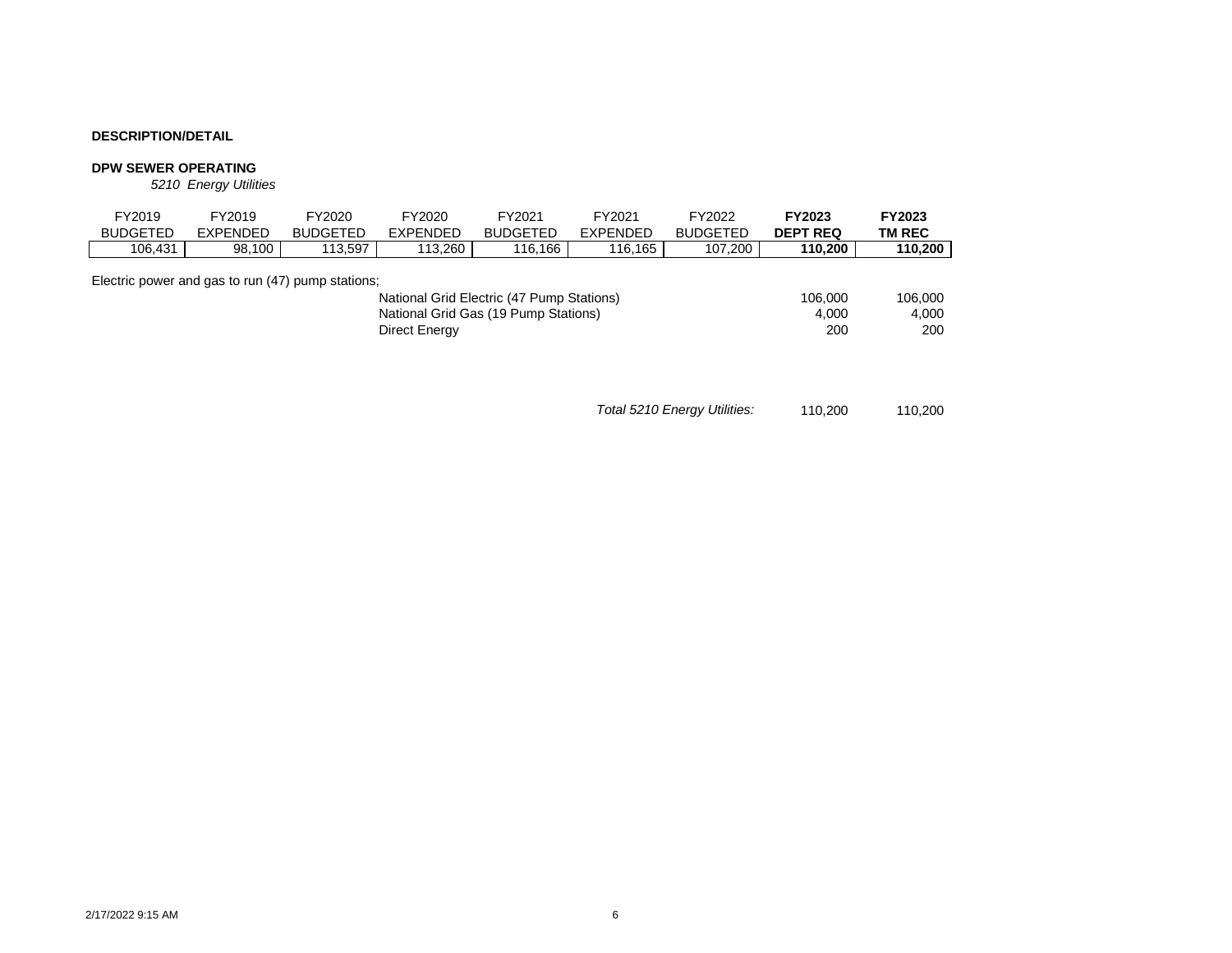#### **DPW SEWER OPERATING**

*5210 Energy Utilities*

| FY2019<br><b>BUDGETED</b>                         | FY2019<br><b>EXPENDED</b> | FY2020<br><b>BUDGETED</b> | FY2020<br><b>EXPENDED</b> | FY2021<br><b>BUDGETED</b>                                                         | FY2021<br><b>EXPENDED</b> | FY2022<br><b>BUDGETED</b> | FY2023<br><b>DEPT REQ</b> | FY2023<br>TM REC        |
|---------------------------------------------------|---------------------------|---------------------------|---------------------------|-----------------------------------------------------------------------------------|---------------------------|---------------------------|---------------------------|-------------------------|
| 106.431                                           | 98,100                    | 113.597                   | 113.260                   | 116.166                                                                           | 116.165                   | 107.200                   | 110.200                   | 110,200                 |
| Electric power and gas to run (47) pump stations; |                           |                           | Direct Energy             | National Grid Electric (47 Pump Stations)<br>National Grid Gas (19 Pump Stations) |                           |                           | 106,000<br>4.000<br>200   | 106,000<br>4.000<br>200 |

*Total 5210 Energy Utilities:* 110,200 110,200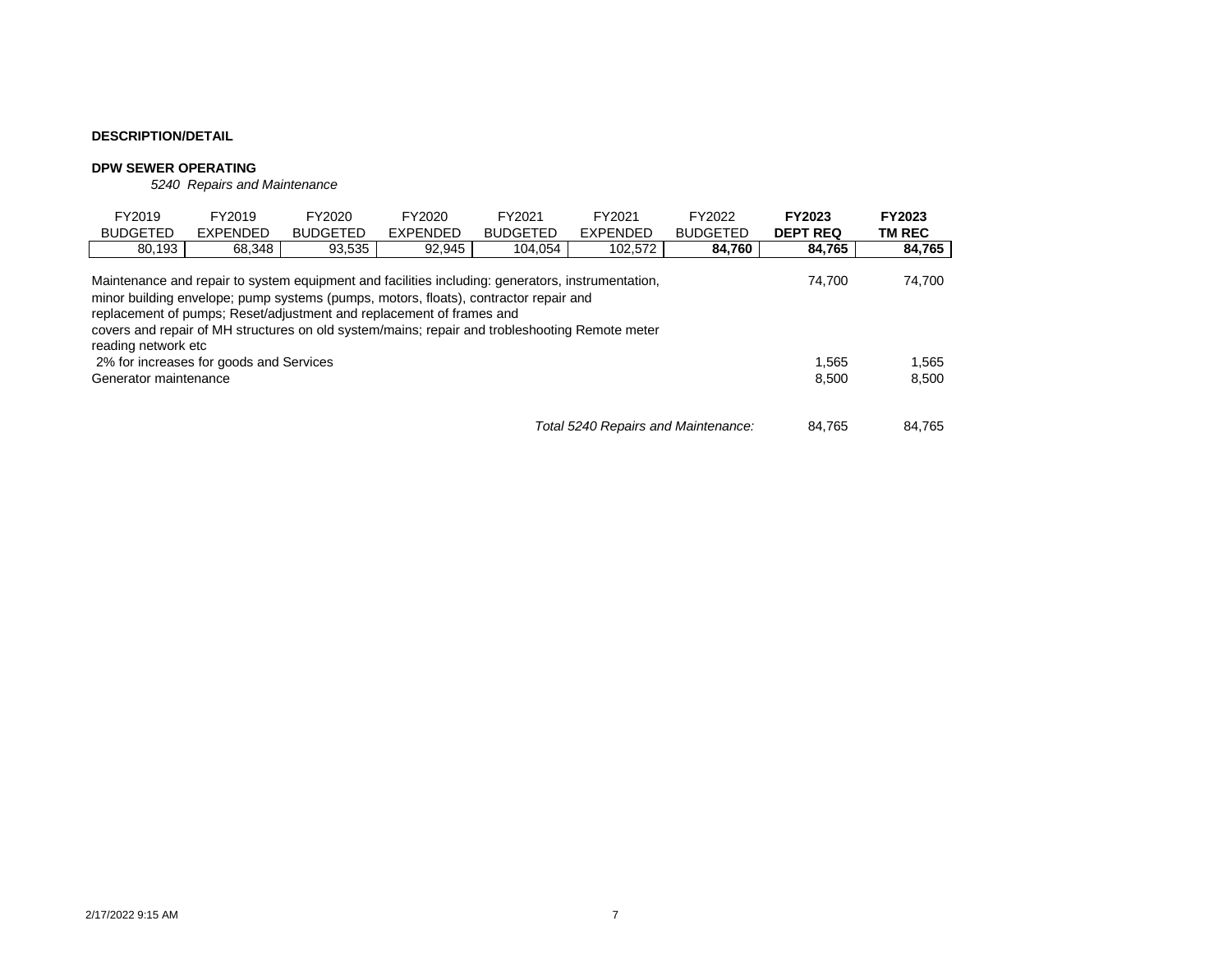#### **DPW SEWER OPERATING**

*5240 Repairs and Maintenance*

| FY2019<br><b>BUDGETED</b>                                                                                                                                                                                                                                                                                                                                                                                      | FY2019<br><b>EXPENDED</b> | FY2020<br><b>BUDGETED</b> | FY2020<br><b>EXPENDED</b> | FY2021<br><b>BUDGETED</b> | FY2021<br><b>EXPENDED</b>           | FY2022<br><b>BUDGETED</b> | <b>FY2023</b><br><b>DEPT REQ</b> | <b>FY2023</b><br><b>TM REC</b> |  |  |  |
|----------------------------------------------------------------------------------------------------------------------------------------------------------------------------------------------------------------------------------------------------------------------------------------------------------------------------------------------------------------------------------------------------------------|---------------------------|---------------------------|---------------------------|---------------------------|-------------------------------------|---------------------------|----------------------------------|--------------------------------|--|--|--|
| 80,193                                                                                                                                                                                                                                                                                                                                                                                                         | 68,348                    | 84,760                    | 84,765                    | 84,765                    |                                     |                           |                                  |                                |  |  |  |
| Maintenance and repair to system equipment and facilities including: generators, instrumentation,<br>74,700<br>74.700<br>minor building envelope; pump systems (pumps, motors, floats), contractor repair and<br>replacement of pumps; Reset/adjustment and replacement of frames and<br>covers and repair of MH structures on old system/mains; repair and trobleshooting Remote meter<br>reading network etc |                           |                           |                           |                           |                                     |                           |                                  |                                |  |  |  |
| 2% for increases for goods and Services<br>Generator maintenance                                                                                                                                                                                                                                                                                                                                               | 1.565<br>8.500            | 1,565<br>8,500            |                           |                           |                                     |                           |                                  |                                |  |  |  |
|                                                                                                                                                                                                                                                                                                                                                                                                                |                           |                           |                           |                           | Total 5240 Repairs and Maintenance: |                           | 84.765                           | 84.765                         |  |  |  |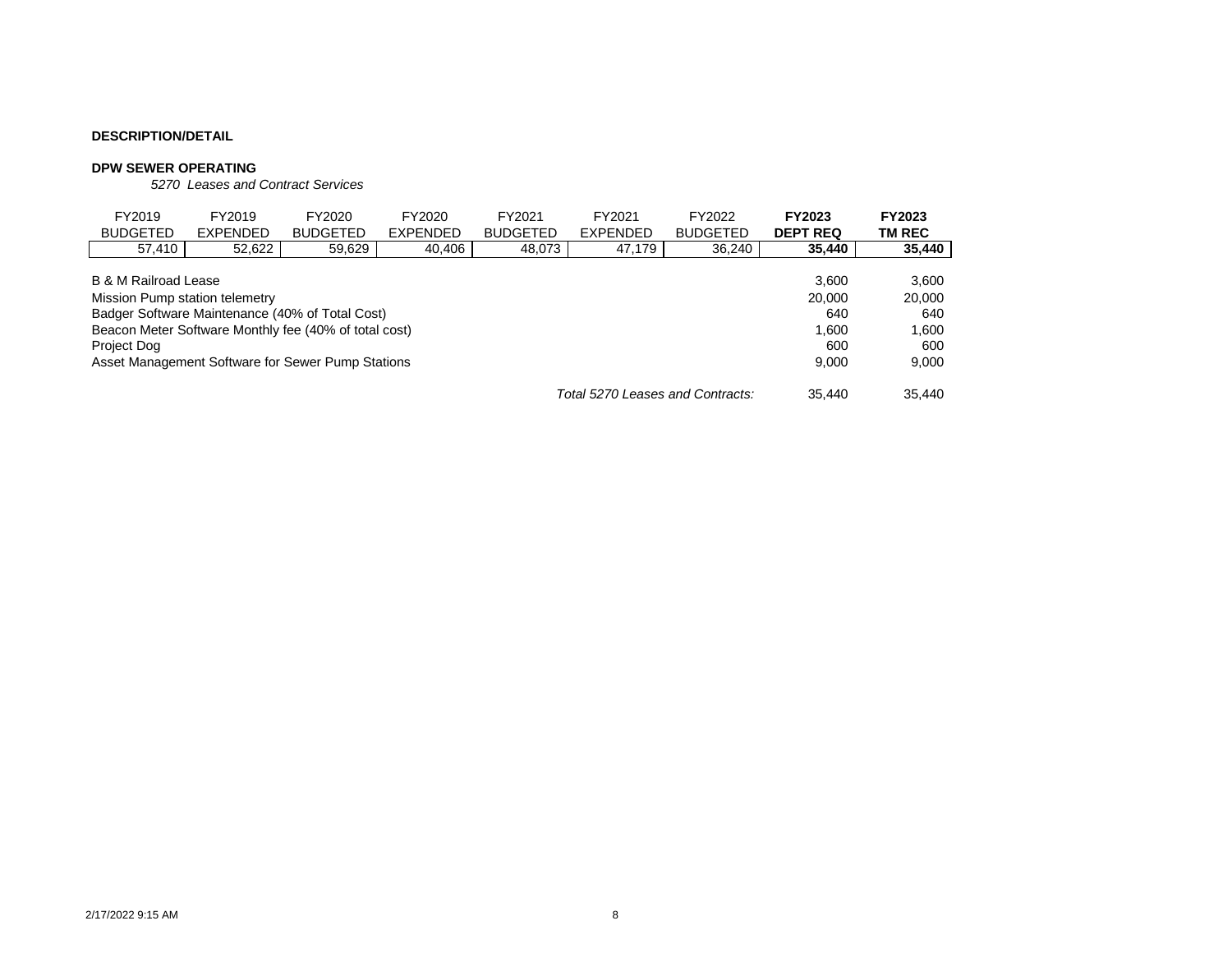#### **DPW SEWER OPERATING**

*5270 Leases and Contract Services*

| FY2019<br><b>BUDGETED</b>                                  | FY2019<br>EXPENDED                                    | FY2020<br><b>BUDGETED</b> | FY2020<br><b>EXPENDED</b> | FY2021<br><b>BUDGETED</b> | FY2021<br><b>EXPENDED</b>        | FY2022<br><b>BUDGETED</b> | <b>FY2023</b><br><b>DEPT REQ</b> | <b>FY2023</b><br>TM REC |  |  |
|------------------------------------------------------------|-------------------------------------------------------|---------------------------|---------------------------|---------------------------|----------------------------------|---------------------------|----------------------------------|-------------------------|--|--|
| 57,410                                                     | 52,622                                                | 59,629                    | 40,406                    | 48,073                    | 47,179                           | 36,240                    | 35,440                           | 35,440                  |  |  |
| <b>B &amp; M Railroad Lease</b><br>3.600                   |                                                       |                           |                           |                           |                                  |                           |                                  |                         |  |  |
| Mission Pump station telemetry                             |                                                       |                           |                           |                           |                                  |                           | 20,000                           | 20,000                  |  |  |
| Badger Software Maintenance (40% of Total Cost)            |                                                       |                           |                           |                           |                                  |                           | 640                              | 640                     |  |  |
|                                                            | Beacon Meter Software Monthly fee (40% of total cost) |                           |                           |                           |                                  |                           | 1.600                            | 1,600                   |  |  |
| Project Dog                                                |                                                       |                           |                           |                           |                                  |                           | 600                              | 600                     |  |  |
| Asset Management Software for Sewer Pump Stations<br>9.000 |                                                       |                           |                           |                           |                                  |                           |                                  |                         |  |  |
|                                                            |                                                       |                           |                           |                           | Total 5270 Leases and Contracts: |                           | 35.440                           | 35.440                  |  |  |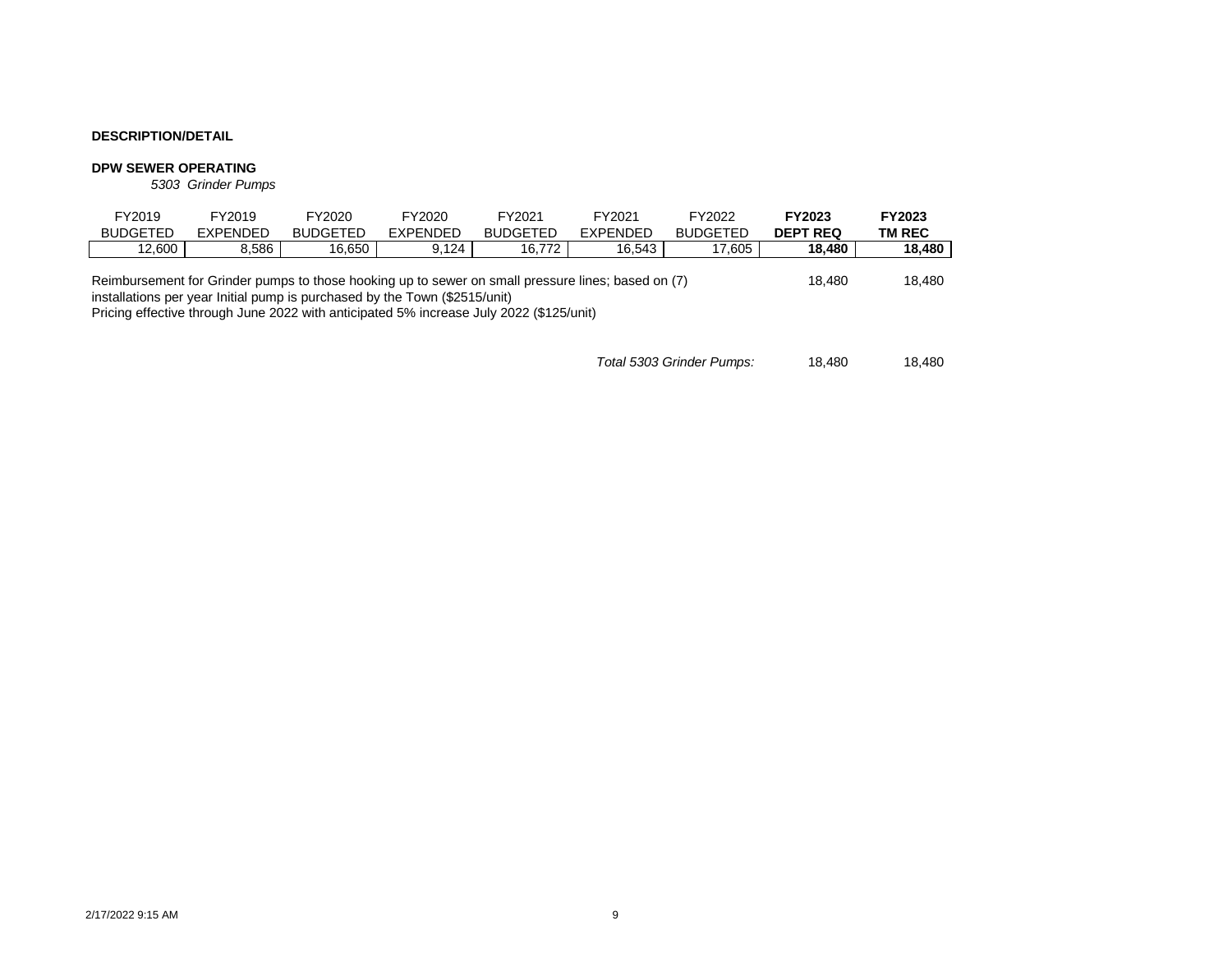#### **DPW SEWER OPERATING**

*5303 Grinder Pumps*

| FY2019                                                                                                                                                                                                                                                                      | FY2019   | FY2020          | FY2020          | FY2021          | FY2021          | FY2022          | <b>FY2023</b>   | <b>FY2023</b> |
|-----------------------------------------------------------------------------------------------------------------------------------------------------------------------------------------------------------------------------------------------------------------------------|----------|-----------------|-----------------|-----------------|-----------------|-----------------|-----------------|---------------|
| <b>BUDGETED</b>                                                                                                                                                                                                                                                             | EXPENDED | <b>BUDGETED</b> | <b>FXPENDED</b> | <b>BUDGETED</b> | <b>EXPENDED</b> | <b>BUDGETED</b> | <b>DEPT REQ</b> | TM REC        |
| 12.600                                                                                                                                                                                                                                                                      | 8.586    | 16.650          | 9.124           | 16.772          | 16.543          | 17.605          | 18.480          | 18,480        |
| Reimbursement for Grinder pumps to those hooking up to sewer on small pressure lines; based on (7)<br>installations per year Initial pump is purchased by the Town (\$2515/unit)<br>Pricing effective through June 2022 with anticipated 5% increase July 2022 (\$125/unit) |          |                 |                 |                 |                 |                 | 18.480          | 18.480        |

*Total 5303 Grinder Pumps:* 18,480 18,480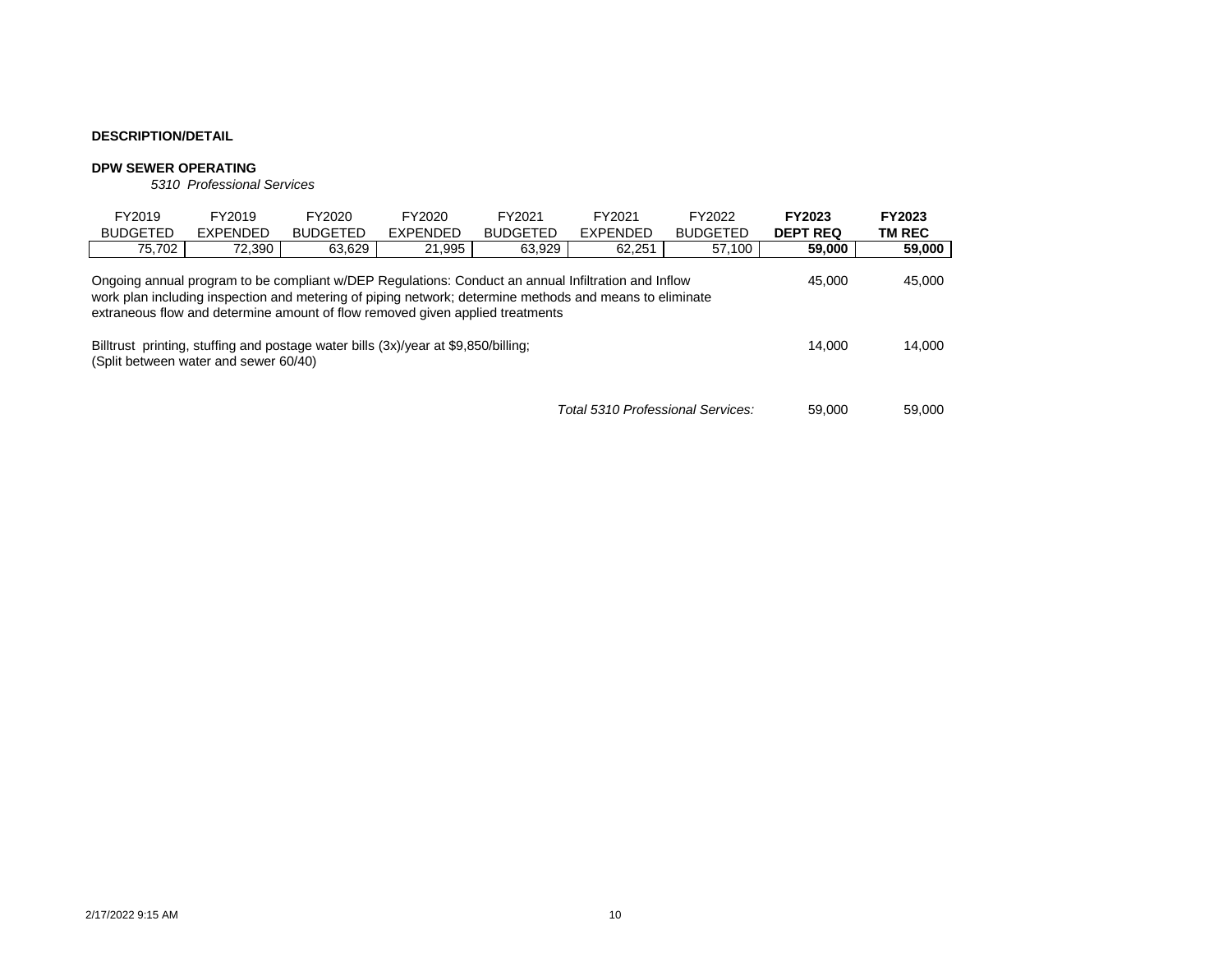#### **DPW SEWER OPERATING**

*5310 Professional Services*

| FY2019<br><b>BUDGETED</b>                                                                                                                                                                                                                                                                                           | FY2019<br><b>EXPENDED</b> | FY2020<br><b>BUDGETED</b> | FY2020<br><b>EXPENDED</b> | FY2021<br><b>BUDGETED</b> | FY2021<br><b>EXPENDED</b>         | FY2022<br><b>BUDGETED</b> | FY2023<br><b>DEPT REQ</b> | FY2023<br><b>TM REC</b> |  |
|---------------------------------------------------------------------------------------------------------------------------------------------------------------------------------------------------------------------------------------------------------------------------------------------------------------------|---------------------------|---------------------------|---------------------------|---------------------------|-----------------------------------|---------------------------|---------------------------|-------------------------|--|
| 75,702                                                                                                                                                                                                                                                                                                              | 72.390                    | 63.629                    | 21.995                    | 63.929                    | 62,251                            | 57,100                    | 59,000                    | 59,000                  |  |
| Ongoing annual program to be compliant w/DEP Regulations: Conduct an annual Infiltration and Inflow<br>45.000<br>45,000<br>work plan including inspection and metering of piping network; determine methods and means to eliminate<br>extraneous flow and determine amount of flow removed given applied treatments |                           |                           |                           |                           |                                   |                           |                           |                         |  |
| Billtrust printing, stuffing and postage water bills (3x)/year at \$9,850/billing;<br>(Split between water and sewer 60/40)                                                                                                                                                                                         | 14.000                    | 14,000                    |                           |                           |                                   |                           |                           |                         |  |
|                                                                                                                                                                                                                                                                                                                     |                           |                           |                           |                           | Total 5310 Professional Services: |                           | 59,000                    | 59,000                  |  |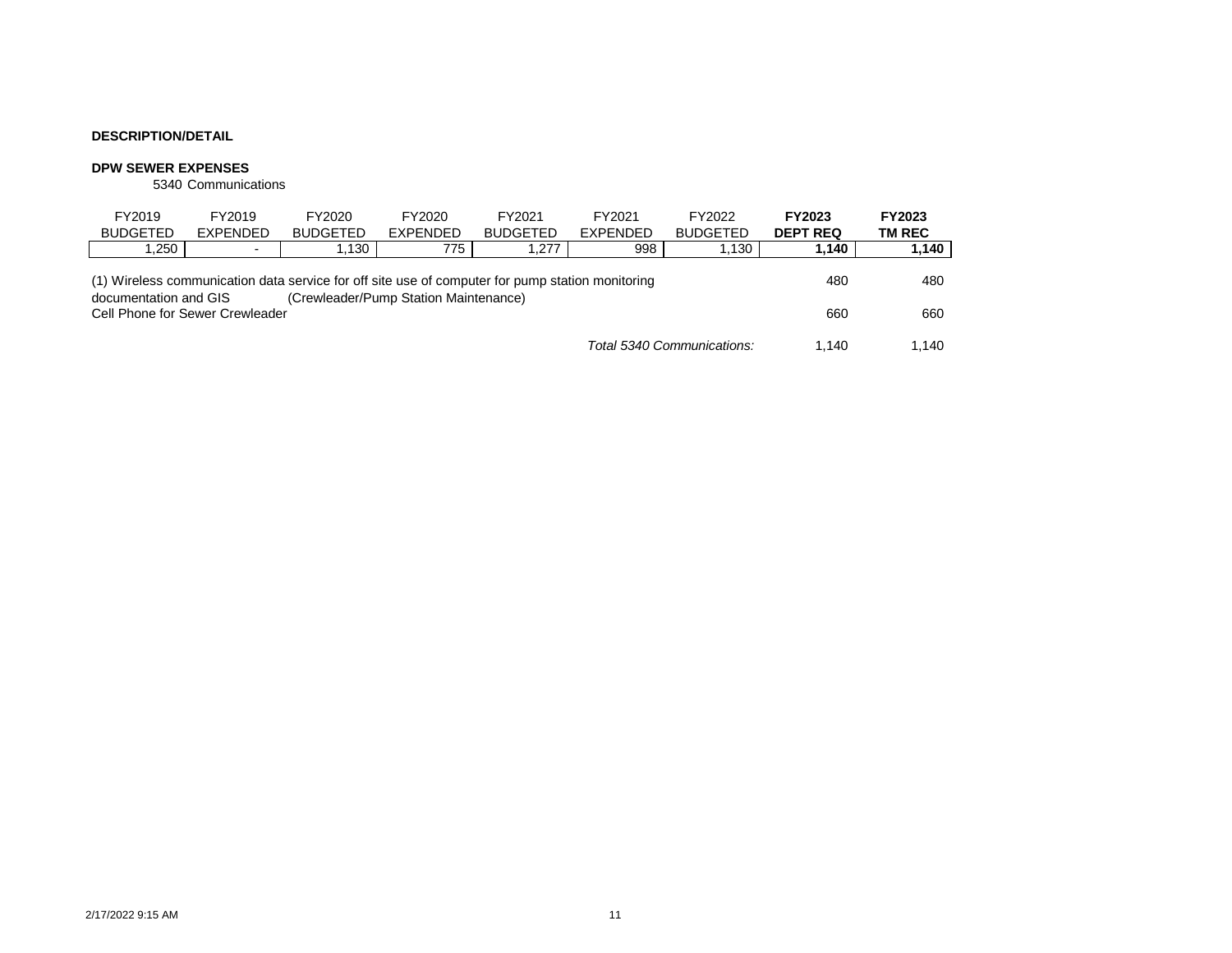#### **DPW SEWER EXPENSES**

5340 Communications

| FY2019<br><b>BUDGETED</b>                                                                                                 | FY2019<br>EXPENDED | FY2020<br><b>BUDGETED</b> | FY2020<br>EXPENDED                    | FY2021<br><b>BUDGETED</b> | FY2021<br><b>EXPENDED</b> | FY2022<br><b>BUDGETED</b>  | FY2023<br><b>DEPT REQ</b> | FY2023<br>TM REC |
|---------------------------------------------------------------------------------------------------------------------------|--------------------|---------------------------|---------------------------------------|---------------------------|---------------------------|----------------------------|---------------------------|------------------|
| ,250                                                                                                                      | $\blacksquare$     | .130                      | 775                                   | .277                      | 998                       | 1,130                      | 1,140                     | 1,140            |
| (1) Wireless communication data service for off site use of computer for pump station monitoring<br>documentation and GIS | 480                | 480                       |                                       |                           |                           |                            |                           |                  |
| Cell Phone for Sewer Crewleader                                                                                           |                    |                           | (Crewleader/Pump Station Maintenance) |                           |                           |                            | 660                       | 660              |
|                                                                                                                           |                    |                           |                                       |                           |                           | Total 5340 Communications: | 1.140                     | 1.140            |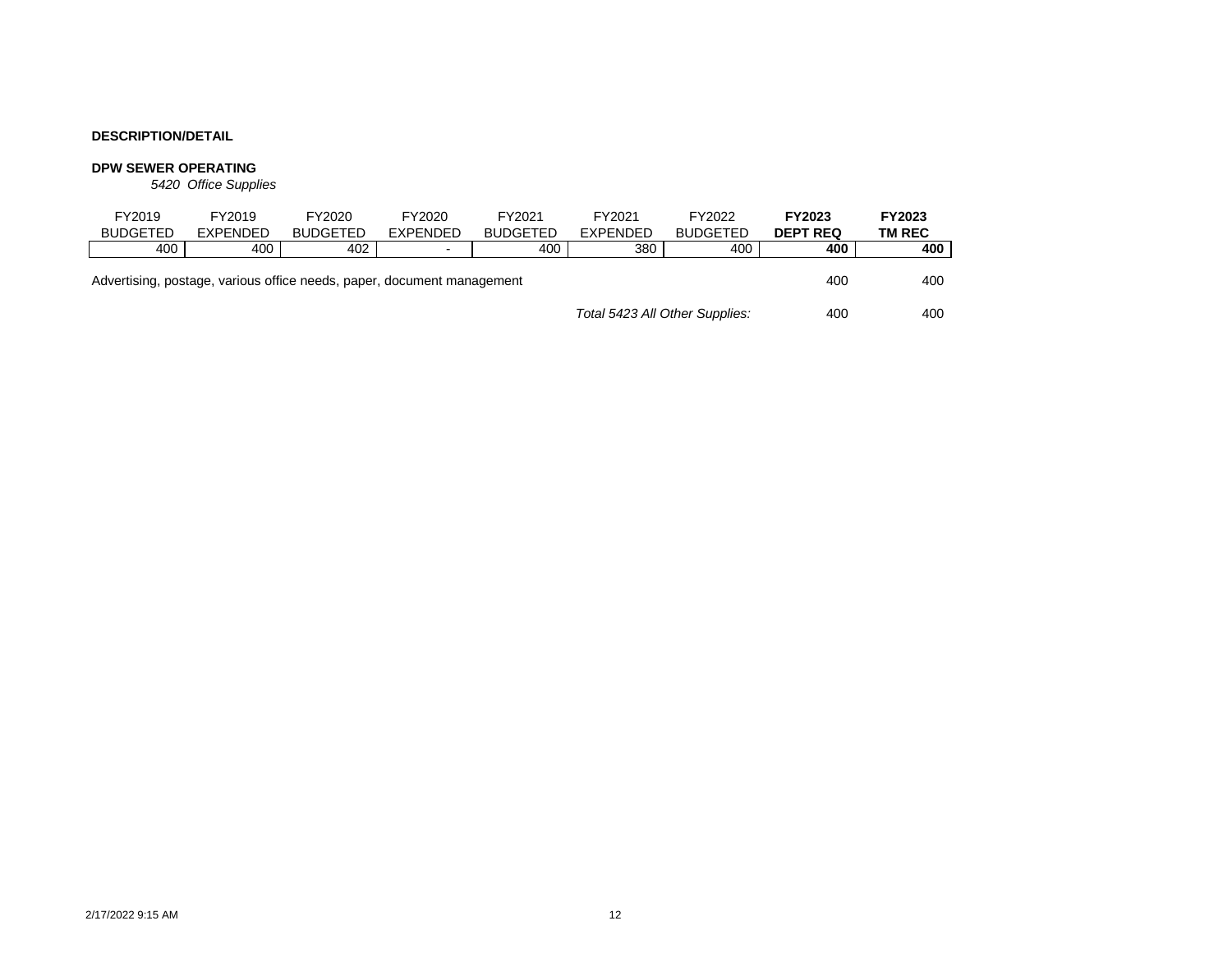#### **DPW SEWER OPERATING**

*5420 Office Supplies*

|                                                                        | FY2019          | FY2019   | FY2020          | FY2020                   | FY2021          | FY2021          | FY2022          | FY2023          | <b>FY2023</b> |
|------------------------------------------------------------------------|-----------------|----------|-----------------|--------------------------|-----------------|-----------------|-----------------|-----------------|---------------|
|                                                                        | <b>BUDGETED</b> | EXPENDED | <b>BUDGETED</b> | EXPENDED                 | <b>BUDGETED</b> | <b>EXPENDED</b> | <b>BUDGETED</b> | <b>DEPT REQ</b> | <b>TM REC</b> |
|                                                                        | 400             | 400      | 402             | $\overline{\phantom{0}}$ | 400             | 380             | 400             | 400             | 400           |
| Advertising, postage, various office needs, paper, document management |                 |          |                 |                          |                 |                 |                 |                 | 400           |
| Total 5423 All Other Supplies:                                         |                 |          |                 |                          |                 |                 | 400             | 400             |               |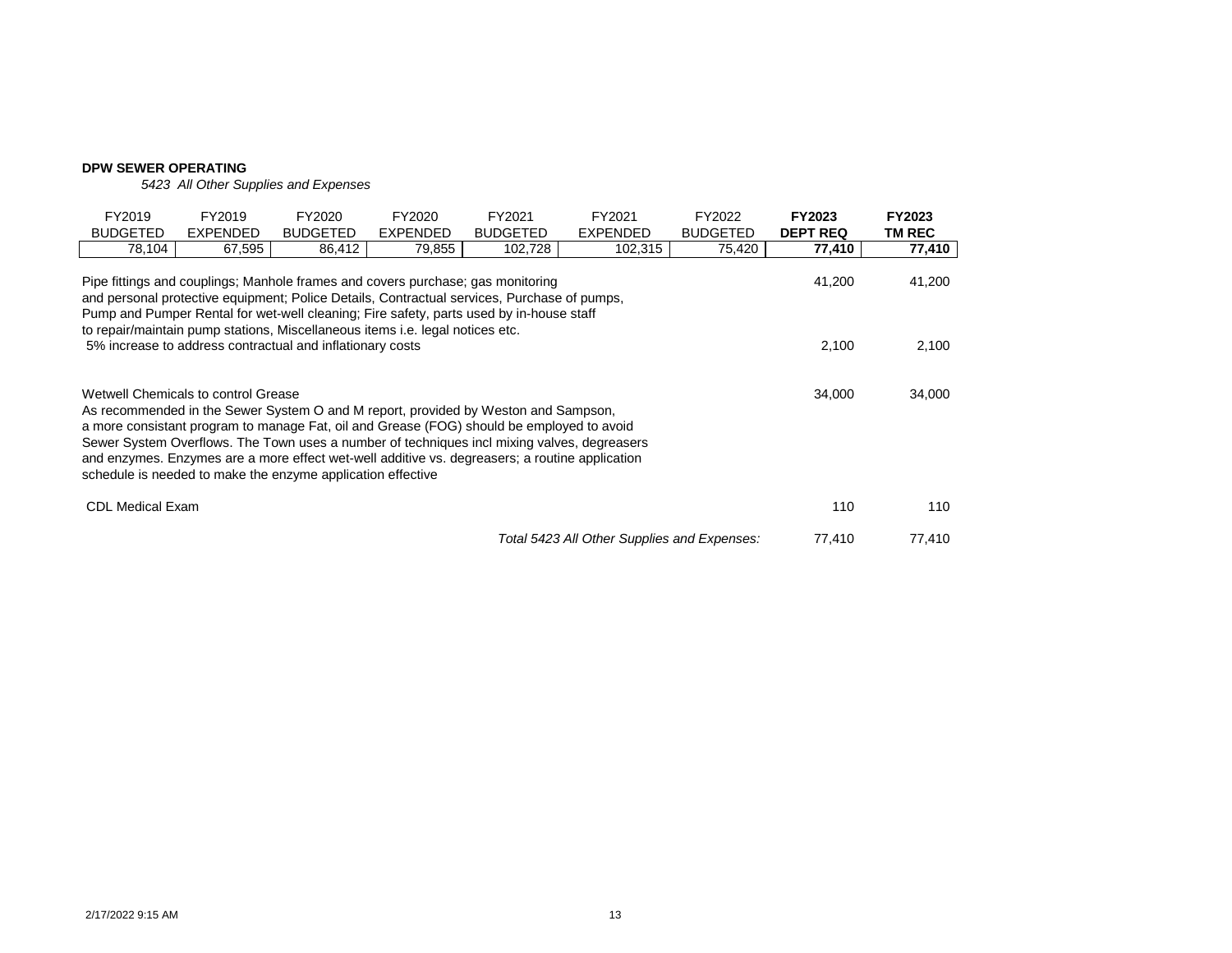### **DPW SEWER OPERATING**

*5423 All Other Supplies and Expenses*

| FY2019<br><b>BUDGETED</b>                                                                                                                                                                                                                                                                                                                                                                                                                                                                        | FY2019<br>EXPENDED                                                              | FY2020<br><b>BUDGETED</b> | FY2020<br>EXPENDED | FY2021<br><b>BUDGETED</b>                                                                                                                                                              | FY2021<br>EXPENDED                          | FY2022<br><b>BUDGETED</b> | <b>FY2023</b><br><b>DEPT REQ</b> | <b>FY2023</b><br><b>TM REC</b> |  |
|--------------------------------------------------------------------------------------------------------------------------------------------------------------------------------------------------------------------------------------------------------------------------------------------------------------------------------------------------------------------------------------------------------------------------------------------------------------------------------------------------|---------------------------------------------------------------------------------|---------------------------|--------------------|----------------------------------------------------------------------------------------------------------------------------------------------------------------------------------------|---------------------------------------------|---------------------------|----------------------------------|--------------------------------|--|
| 78,104                                                                                                                                                                                                                                                                                                                                                                                                                                                                                           | 67,595                                                                          | 86,412                    | 79,855             | 102,728                                                                                                                                                                                | 102,315                                     | 75,420                    | 77,410                           | 77,410                         |  |
|                                                                                                                                                                                                                                                                                                                                                                                                                                                                                                  | Pipe fittings and couplings; Manhole frames and covers purchase; gas monitoring |                           |                    | and personal protective equipment; Police Details, Contractual services, Purchase of pumps,<br>Pump and Pumper Rental for wet-well cleaning; Fire safety, parts used by in-house staff |                                             |                           | 41,200                           | 41,200                         |  |
| to repair/maintain pump stations, Miscellaneous items i.e. legal notices etc.<br>2,100<br>5% increase to address contractual and inflationary costs                                                                                                                                                                                                                                                                                                                                              |                                                                                 |                           |                    |                                                                                                                                                                                        |                                             |                           |                                  |                                |  |
| Wetwell Chemicals to control Grease<br>34,000<br>As recommended in the Sewer System O and M report, provided by Weston and Sampson,<br>a more consistant program to manage Fat, oil and Grease (FOG) should be employed to avoid<br>Sewer System Overflows. The Town uses a number of techniques incl mixing valves, degreasers<br>and enzymes. Enzymes are a more effect wet-well additive vs. degreasers; a routine application<br>schedule is needed to make the enzyme application effective |                                                                                 |                           |                    |                                                                                                                                                                                        |                                             |                           |                                  |                                |  |
| <b>CDL Medical Exam</b>                                                                                                                                                                                                                                                                                                                                                                                                                                                                          |                                                                                 |                           |                    |                                                                                                                                                                                        |                                             |                           | 110                              | 110                            |  |
|                                                                                                                                                                                                                                                                                                                                                                                                                                                                                                  |                                                                                 |                           |                    |                                                                                                                                                                                        | Total 5423 All Other Supplies and Expenses: |                           | 77,410                           | 77,410                         |  |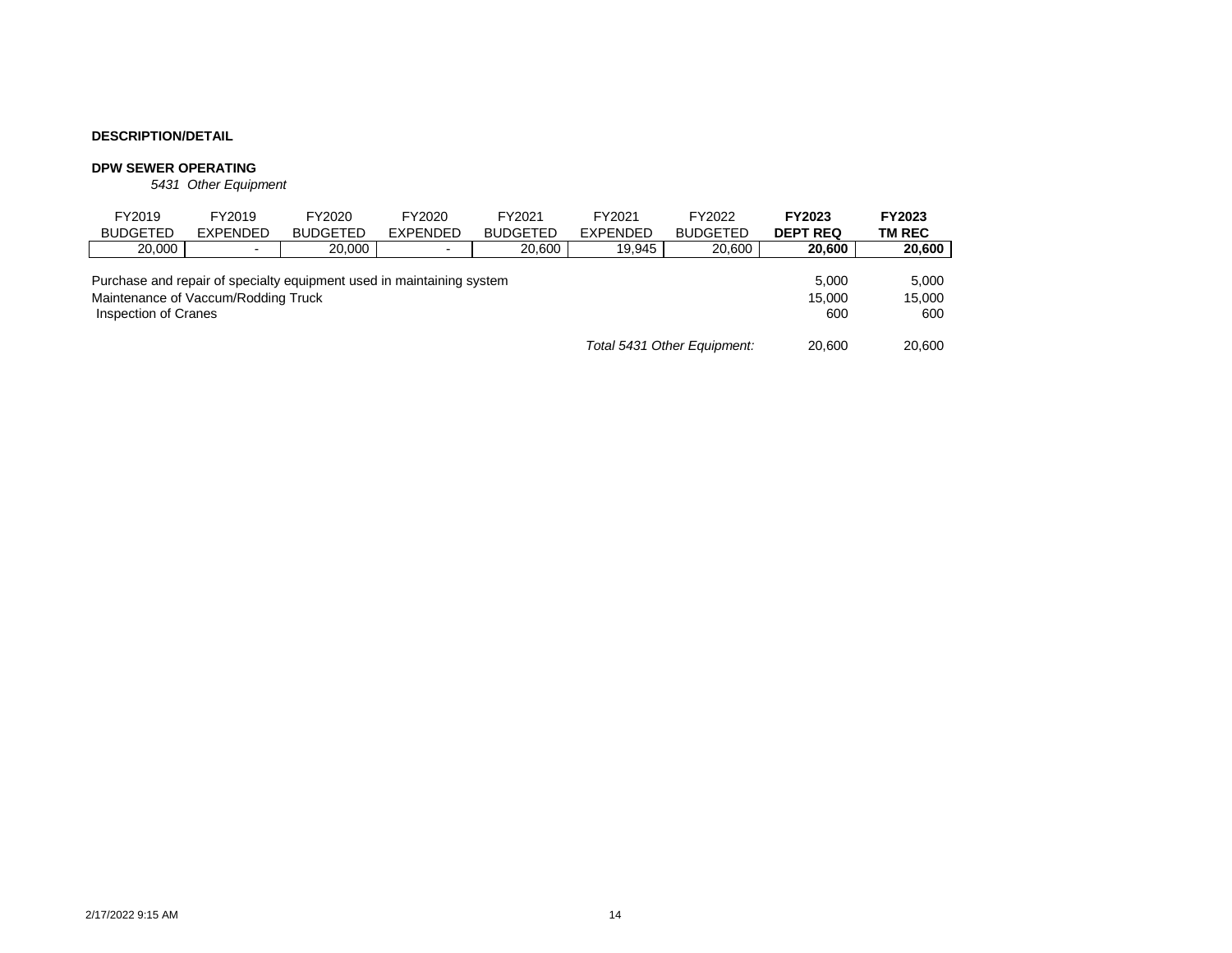#### **DPW SEWER OPERATING**

*5431 Other Equipment*

| FY2019<br><b>BUDGETED</b>                                   | FY2019<br><b>EXPENDED</b> | FY2020<br><b>BUDGETED</b>                                             | FY2020<br><b>EXPENDED</b> | FY2021<br><b>BUDGETED</b> | FY2021<br><b>EXPENDED</b> | FY2022<br><b>BUDGETED</b> | FY2023<br><b>DEPT REQ</b> | FY2023<br>TM REC |
|-------------------------------------------------------------|---------------------------|-----------------------------------------------------------------------|---------------------------|---------------------------|---------------------------|---------------------------|---------------------------|------------------|
| 20,000                                                      | $\blacksquare$            | 20,000                                                                |                           | 20.600                    | 19.945                    | 20,600                    | 20,600                    | 20,600           |
| Maintenance of Vaccum/Rodding Truck<br>Inspection of Cranes |                           | Purchase and repair of specialty equipment used in maintaining system |                           |                           | 5.000<br>15,000<br>600    | 5.000<br>15,000<br>600    |                           |                  |
| Total 5431 Other Equipment:                                 |                           |                                                                       |                           |                           |                           | 20,600                    | 20,600                    |                  |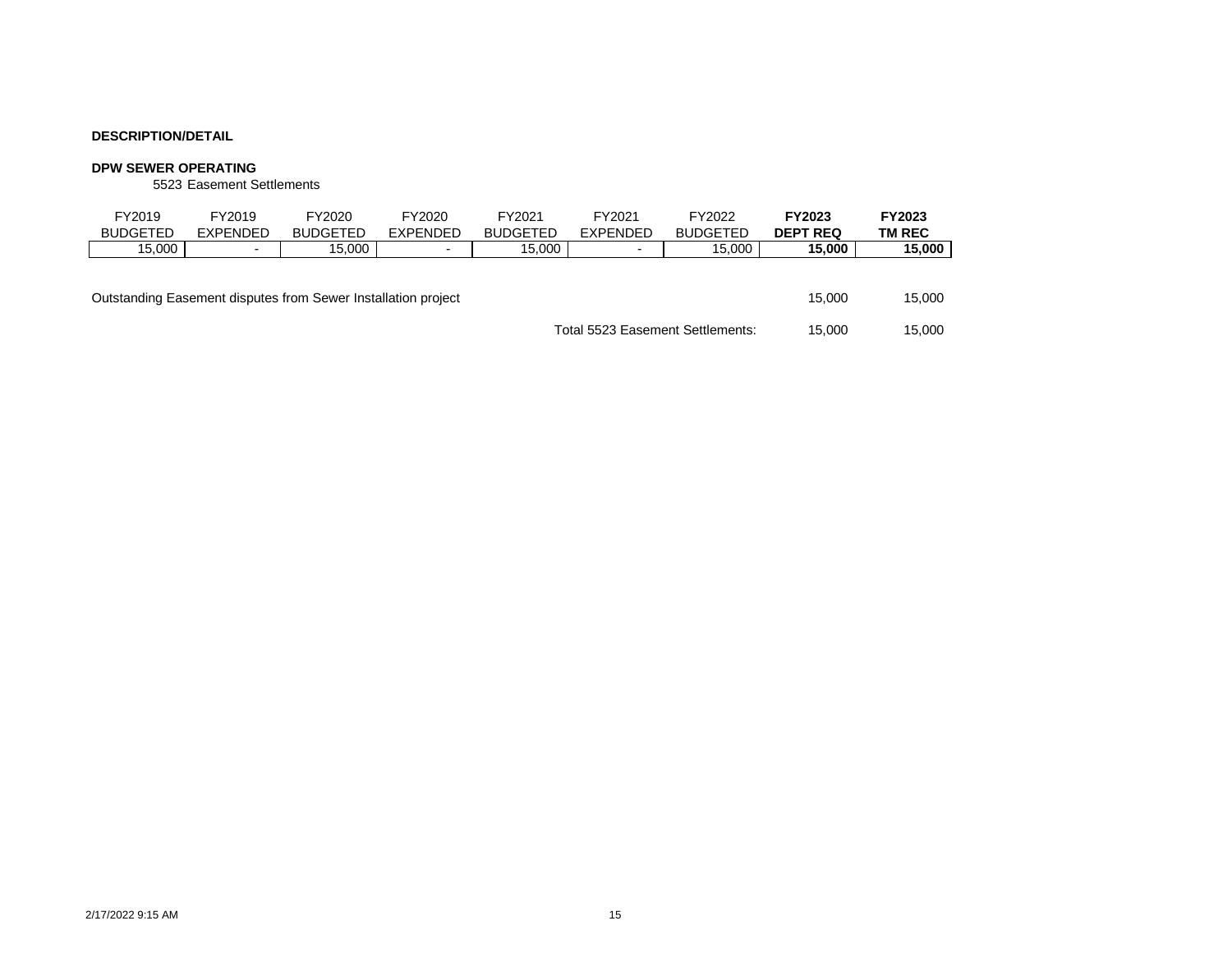#### **DPW SEWER OPERATING**

5523 Easement Settlements

| FY2019<br><b>BUDGETED</b>                                     | FY2019<br><b>EXPENDED</b> | FY2020<br><b>BUDGETED</b> | FY2020<br><b>EXPENDED</b> | FY2021<br><b>BUDGETED</b> | FY2021<br><b>EXPENDED</b> | FY2022<br><b>BUDGETED</b> | <b>FY2023</b><br><b>DEPT REQ</b> | FY2023<br>TM REC |
|---------------------------------------------------------------|---------------------------|---------------------------|---------------------------|---------------------------|---------------------------|---------------------------|----------------------------------|------------------|
| 15.000                                                        | $\blacksquare$            | 15.000                    | $\overline{\phantom{a}}$  | 15.000                    | $\blacksquare$            | 15.000                    | 15.000                           | 15,000           |
| Outstanding Easement disputes from Sewer Installation project |                           |                           |                           |                           |                           |                           |                                  | 15.000           |
| Total 5523 Easement Settlements:                              |                           |                           |                           |                           |                           |                           | 15.000                           | 15.000           |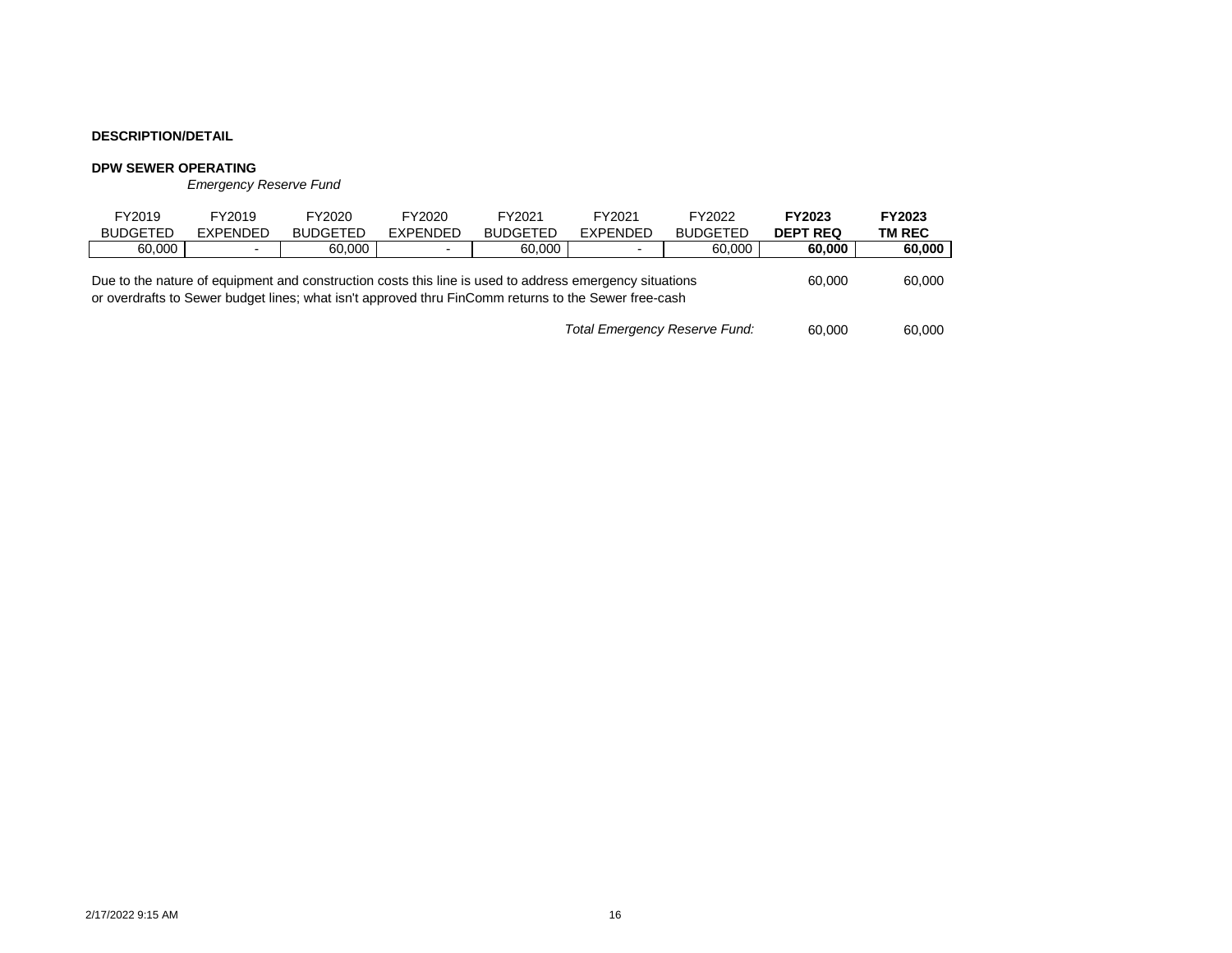#### **DPW SEWER OPERATING**

*Emergency Reserve Fund*

| FY2019<br><b>BUDGETED</b>                                                                                                                                                                                       | FY2019<br><b>EXPENDED</b> | FY2020<br><b>BUDGETED</b> | FY2020<br><b>EXPENDED</b> | FY2021<br><b>BUDGETED</b> | FY2021<br><b>EXPENDED</b> | FY2022<br><b>BUDGETED</b> | <b>FY2023</b><br><b>DEPT REQ</b> | FY2023<br>TM REC |
|-----------------------------------------------------------------------------------------------------------------------------------------------------------------------------------------------------------------|---------------------------|---------------------------|---------------------------|---------------------------|---------------------------|---------------------------|----------------------------------|------------------|
| 60,000                                                                                                                                                                                                          | $\blacksquare$            | 60,000                    | $\overline{\phantom{0}}$  | 60.000                    | $\blacksquare$            | 60.000                    | 60.000                           | 60,000           |
| Due to the nature of equipment and construction costs this line is used to address emergency situations<br>or overdrafts to Sewer budget lines; what isn't approved thru FinComm returns to the Sewer free-cash | 60,000                    | 60,000                    |                           |                           |                           |                           |                                  |                  |
| Total Emergency Reserve Fund:                                                                                                                                                                                   |                           |                           |                           |                           |                           |                           | 60,000                           | 60,000           |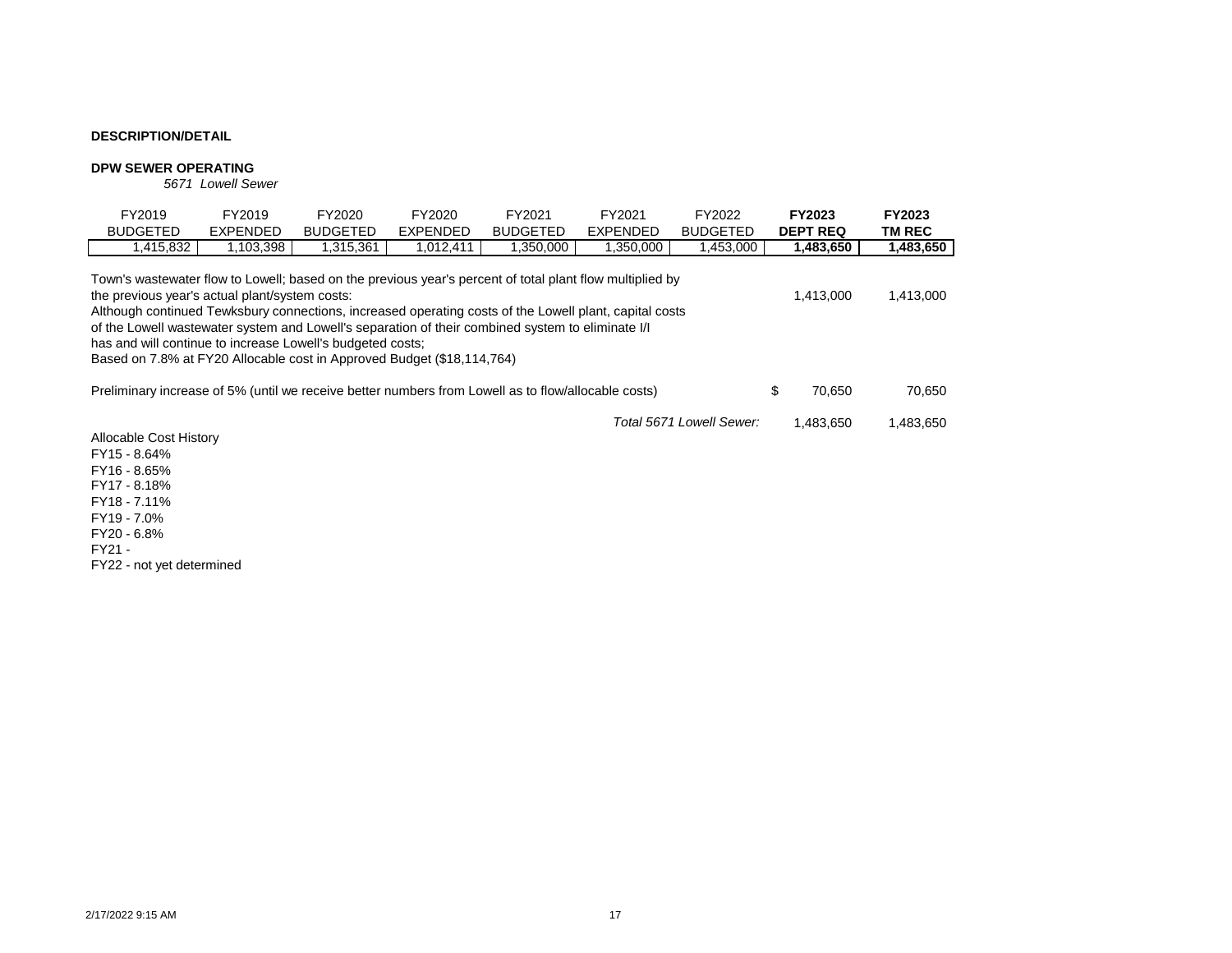#### **DPW SEWER OPERATING**

*5671 Lowell Sewer*

| FY2019<br><b>BUDGETED</b>                                                                                                                                                                                                                                                                                                                                                                                                                                                                                         | FY2019<br>EXPENDED | FY2020<br><b>BUDGETED</b> | FY2020<br>EXPENDED | FY2021<br><b>BUDGETED</b> | FY2021<br><b>EXPENDED</b> | FY2022<br><b>BUDGETED</b> |    | <b>FY2023</b><br><b>DEPT REQ</b> | <b>FY2023</b><br>TM REC |
|-------------------------------------------------------------------------------------------------------------------------------------------------------------------------------------------------------------------------------------------------------------------------------------------------------------------------------------------------------------------------------------------------------------------------------------------------------------------------------------------------------------------|--------------------|---------------------------|--------------------|---------------------------|---------------------------|---------------------------|----|----------------------------------|-------------------------|
| 1,415,832                                                                                                                                                                                                                                                                                                                                                                                                                                                                                                         | 1,103,398          | 1,315,361                 | 1,012,411          | 1,350,000                 | 1,350,000                 | 1,453,000                 |    | 1,483,650                        | 1,483,650               |
| Town's wastewater flow to Lowell; based on the previous year's percent of total plant flow multiplied by<br>the previous year's actual plant/system costs:<br>Although continued Tewksbury connections, increased operating costs of the Lowell plant, capital costs<br>of the Lowell wastewater system and Lowell's separation of their combined system to eliminate I/I<br>has and will continue to increase Lowell's budgeted costs:<br>Based on 7.8% at FY20 Allocable cost in Approved Budget (\$18,114,764) |                    |                           |                    |                           |                           |                           |    | 1.413.000                        | 1,413,000               |
| Preliminary increase of 5% (until we receive better numbers from Lowell as to flow/allocable costs)                                                                                                                                                                                                                                                                                                                                                                                                               |                    |                           |                    |                           |                           |                           | \$ | 70.650                           | 70.650                  |
| Allocable Cost History                                                                                                                                                                                                                                                                                                                                                                                                                                                                                            |                    |                           |                    |                           |                           | Total 5671 Lowell Sewer:  |    | 1.483.650                        | 1,483,650               |

FY15 - 8.64% FY16 - 8.65% FY17 - 8.18% FY18 - 7.11% FY19 - 7.0% FY20 - 6.8% FY21 - FY22 - not yet determined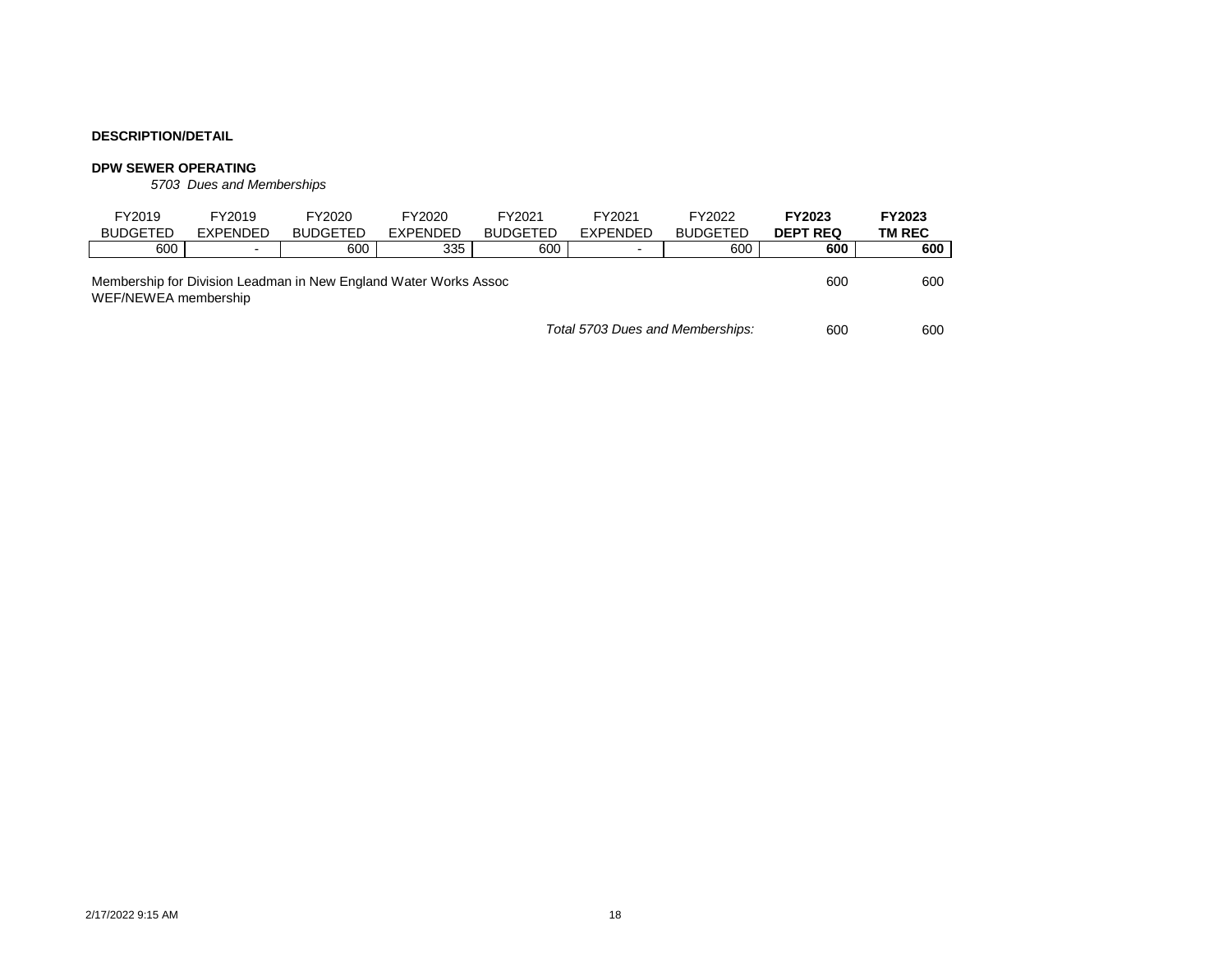#### **DPW SEWER OPERATING**

*5703 Dues and Memberships*

| FY2019                                                                                   | FY2019          | FY2020          | FY2020   | FY2021          | FY2021          | FY2022          | <b>FY2023</b>   | FY2023 |
|------------------------------------------------------------------------------------------|-----------------|-----------------|----------|-----------------|-----------------|-----------------|-----------------|--------|
| <b>BUDGETED</b>                                                                          | <b>EXPENDED</b> | <b>BUDGETED</b> | EXPENDED | <b>BUDGETED</b> | <b>EXPENDED</b> | <b>BUDGETED</b> | <b>DEPT REQ</b> | TM REC |
| 600                                                                                      | $\blacksquare$  | 600             | 335      | 600             | $\blacksquare$  | 600             | 600             | 600    |
| Membership for Division Leadman in New England Water Works Assoc<br>WEF/NEWEA membership | 600             | 600             |          |                 |                 |                 |                 |        |
| Total 5703 Dues and Memberships:                                                         |                 |                 |          |                 |                 |                 |                 | 600    |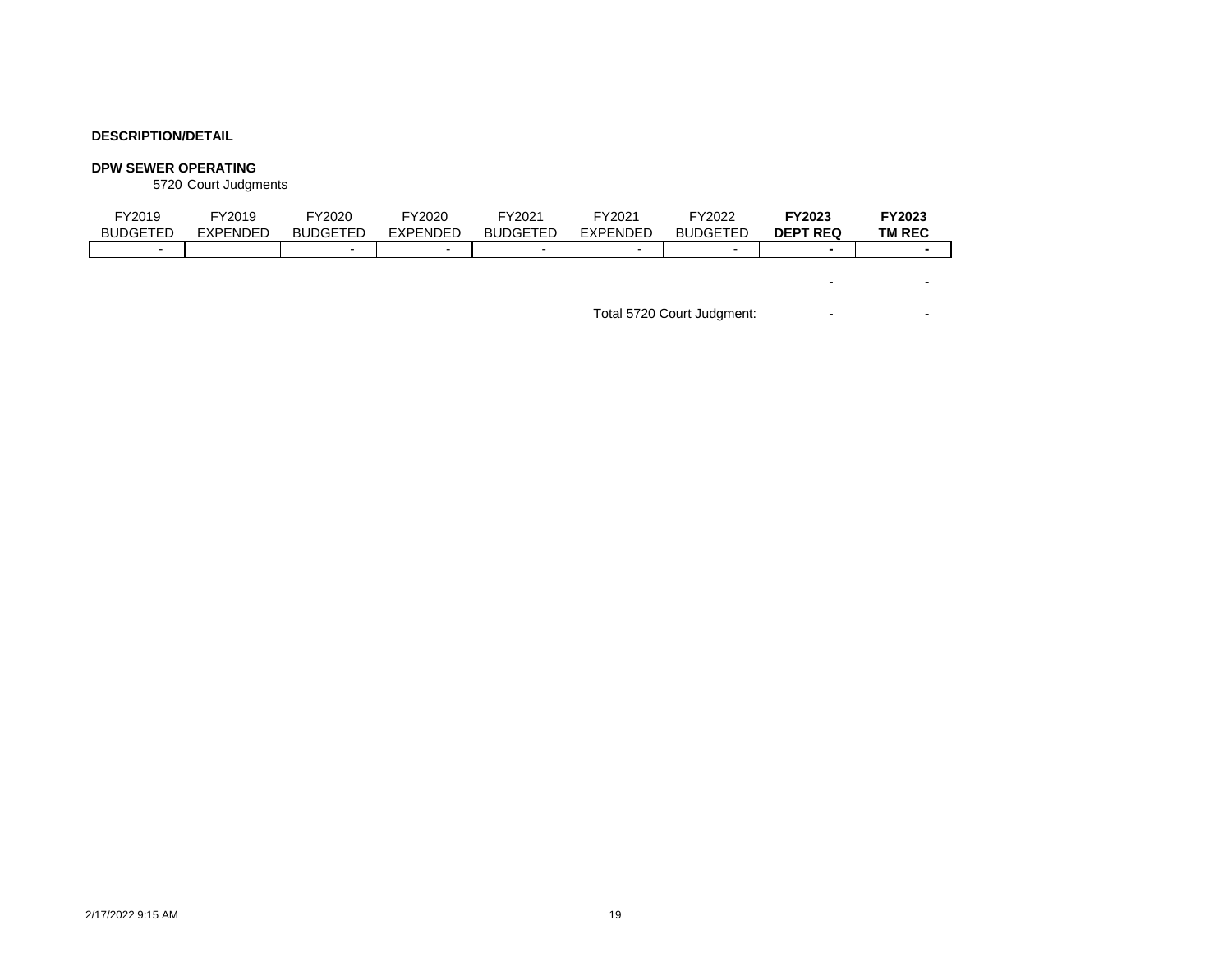#### **DPW SEWER OPERATING**

5720 Court Judgments

| FY2019<br><b>BUDGETED</b> | FY2019<br><b>EXPENDED</b> | FY2020<br><b>BUDGETED</b> | FY2020<br><b>EXPENDED</b> | FY2021<br><b>BUDGETED</b> | FY2021<br><b>EXPENDED</b> | FY2022<br><b>BUDGETED</b> | FY2023<br><b>DEPT REQ</b> | FY2023<br><b>TM REC</b>  |
|---------------------------|---------------------------|---------------------------|---------------------------|---------------------------|---------------------------|---------------------------|---------------------------|--------------------------|
| $\overline{\phantom{a}}$  |                           | $\overline{\phantom{0}}$  | $\overline{\phantom{0}}$  | $\blacksquare$            | $\overline{\phantom{0}}$  | $\overline{\phantom{0}}$  | ٠                         |                          |
|                           |                           |                           |                           |                           |                           |                           |                           |                          |
|                           |                           |                           |                           |                           |                           |                           |                           | $\overline{\phantom{a}}$ |

Total 5720 Court Judgment: The Second State Second State State State State State State State State State State State State State State State State State State State State State State State State State State State State Sta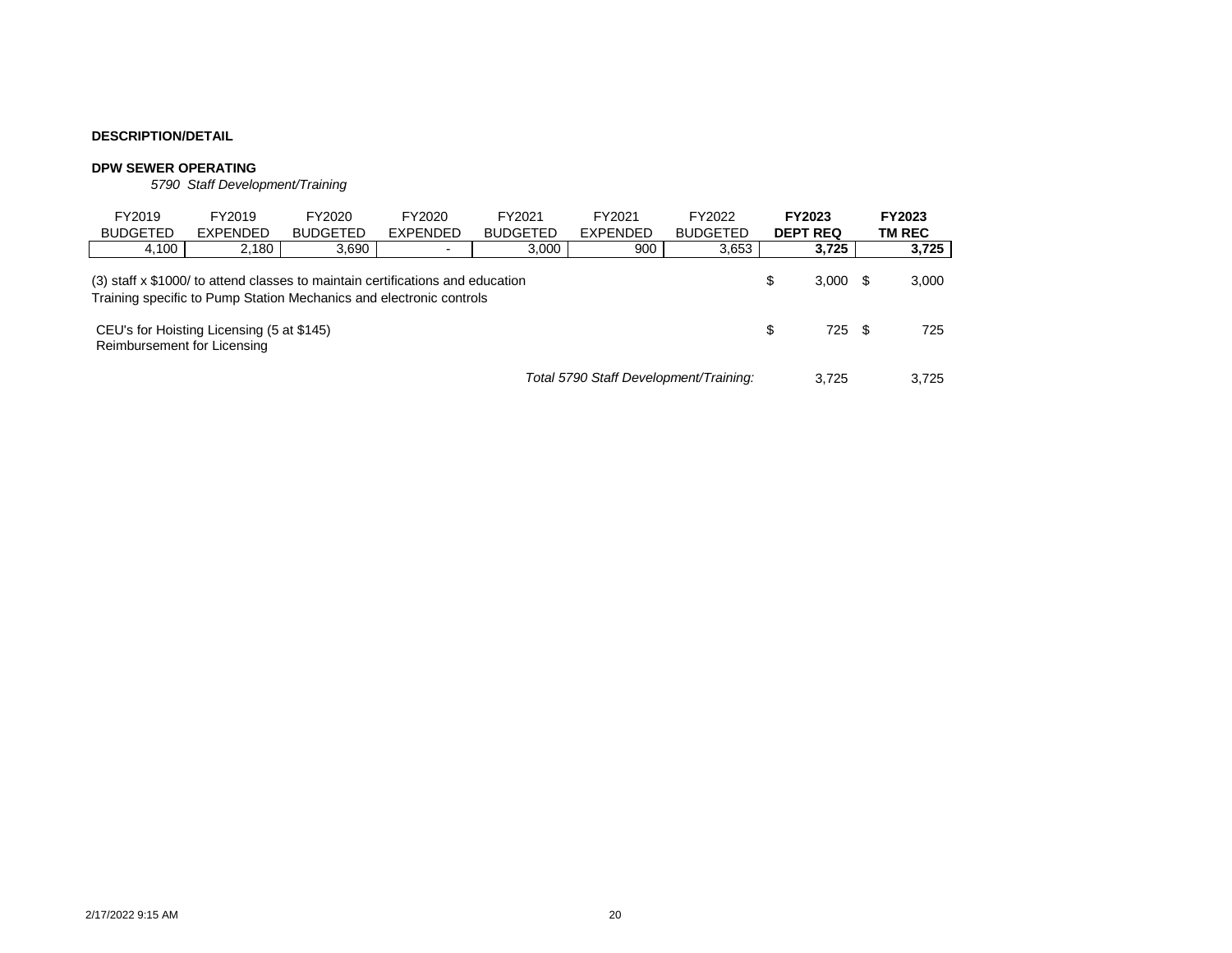#### **DPW SEWER OPERATING**

*5790 Staff Development/Training*

| FY2019<br><b>BUDGETED</b>                                                                                                                                           | FY2019<br><b>EXPENDED</b> | FY2020<br><b>BUDGETED</b> | FY2020<br><b>EXPENDED</b> | FY2021<br><b>BUDGETED</b> | FY2021<br><b>EXPENDED</b> | FY2022<br><b>BUDGETED</b> |  | FY2023<br><b>DEPT REQ</b> |        | <b>FY2023</b><br>TM REC |
|---------------------------------------------------------------------------------------------------------------------------------------------------------------------|---------------------------|---------------------------|---------------------------|---------------------------|---------------------------|---------------------------|--|---------------------------|--------|-------------------------|
| 4,100                                                                                                                                                               | 2,180                     | 3,690                     |                           | 3,000                     | 900                       | 3,653                     |  | 3,725                     |        | 3,725                   |
| (3) staff x \$1000/ to attend classes to maintain certifications and education<br>S<br>3.000<br>Training specific to Pump Station Mechanics and electronic controls |                           |                           |                           |                           |                           |                           |  |                           |        | 3,000                   |
| CEU's for Hoisting Licensing (5 at \$145)<br>Reimbursement for Licensing                                                                                            |                           |                           |                           |                           |                           |                           |  |                           | 725 \$ | 725                     |
| Total 5790 Staff Development/Training:                                                                                                                              |                           |                           |                           |                           |                           |                           |  | 3.725                     |        | 3.725                   |